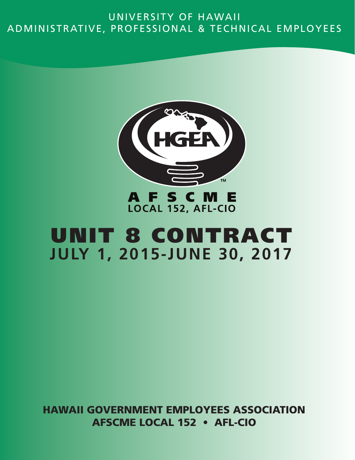# UNIVERSITY OF HAWAII ADMINISTRATIVE, PROFESSIONAL & TECHNICAL EMPLOYEES



# LOCAL 152, AFL-CIO

# UNIT 8 CONTRACT **JULY 1, 2015-JUNE 30, 2017**

HAWAII GOVERNMENT EMPLOYEES ASSOCIATION AFSCME LOCAL 152 • AFL-CIO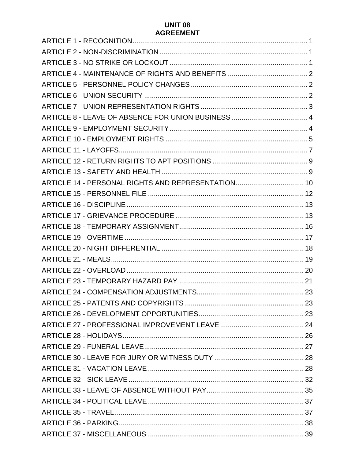#### **UNIT 08 AGREEMENT**

| ARTICLE 14 - PERSONAL RIGHTS AND REPRESENTATION 10 |  |
|----------------------------------------------------|--|
|                                                    |  |
|                                                    |  |
|                                                    |  |
|                                                    |  |
|                                                    |  |
|                                                    |  |
|                                                    |  |
|                                                    |  |
|                                                    |  |
|                                                    |  |
|                                                    |  |
|                                                    |  |
|                                                    |  |
|                                                    |  |
|                                                    |  |
|                                                    |  |
|                                                    |  |
|                                                    |  |
|                                                    |  |
|                                                    |  |
|                                                    |  |
|                                                    |  |
|                                                    |  |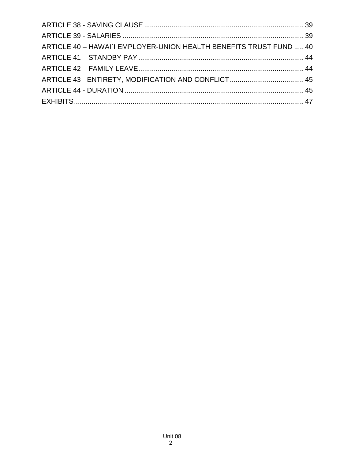| ARTICLE 40 - HAWAI`I EMPLOYER-UNION HEALTH BENEFITS TRUST FUND  40 |  |
|--------------------------------------------------------------------|--|
|                                                                    |  |
|                                                                    |  |
|                                                                    |  |
|                                                                    |  |
|                                                                    |  |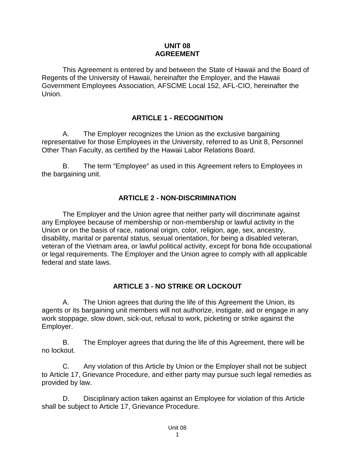#### **UNIT 08 AGREEMENT**

This Agreement is entered by and between the State of Hawaii and the Board of Regents of the University of Hawaii, hereinafter the Employer, and the Hawaii Government Employees Association, AFSCME Local 152, AFL-CIO, hereinafter the Union.

#### **ARTICLE 1 - RECOGNITION**

<span id="page-3-0"></span>A. The Employer recognizes the Union as the exclusive bargaining representative for those Employees in the University, referred to as Unit 8, Personnel Other Than Faculty, as certified by the Hawaii Labor Relations Board.

B. The term "Employee" as used in this Agreement refers to Employees in the bargaining unit.

#### **ARTICLE 2 - NON-DISCRIMINATION**

<span id="page-3-1"></span>The Employer and the Union agree that neither party will discriminate against any Employee because of membership or non-membership or lawful activity in the Union or on the basis of race, national origin, color, religion, age, sex, ancestry, disability, marital or parental status, sexual orientation, for being a disabled veteran, veteran of the Vietnam area, or lawful political activity, except for bona fide occupational or legal requirements. The Employer and the Union agree to comply with all applicable federal and state laws.

#### **ARTICLE 3 - NO STRIKE OR LOCKOUT**

<span id="page-3-2"></span>A. The Union agrees that during the life of this Agreement the Union, its agents or its bargaining unit members will not authorize, instigate, aid or engage in any work stoppage, slow down, sick-out, refusal to work, picketing or strike against the Employer.

B. The Employer agrees that during the life of this Agreement, there will be no lockout.

C. Any violation of this Article by Union or the Employer shall not be subject to Article 17, Grievance Procedure, and either party may pursue such legal remedies as provided by law.

D. Disciplinary action taken against an Employee for violation of this Article shall be subject to Article 17, Grievance Procedure.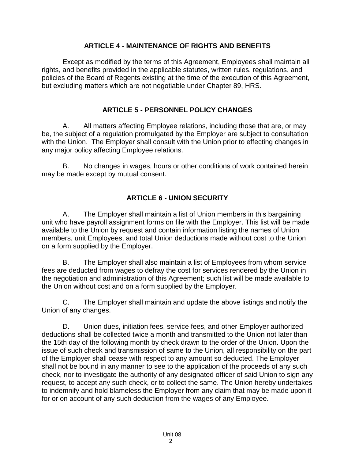#### **ARTICLE 4 - MAINTENANCE OF RIGHTS AND BENEFITS**

<span id="page-4-0"></span>Except as modified by the terms of this Agreement, Employees shall maintain all rights, and benefits provided in the applicable statutes, written rules, regulations, and policies of the Board of Regents existing at the time of the execution of this Agreement, but excluding matters which are not negotiable under Chapter 89, HRS.

#### **ARTICLE 5 - PERSONNEL POLICY CHANGES**

<span id="page-4-1"></span>A. All matters affecting Employee relations, including those that are, or may be, the subject of a regulation promulgated by the Employer are subject to consultation with the Union. The Employer shall consult with the Union prior to effecting changes in any major policy affecting Employee relations.

B. No changes in wages, hours or other conditions of work contained herein may be made except by mutual consent.

#### **ARTICLE 6 - UNION SECURITY**

<span id="page-4-2"></span>A. The Employer shall maintain a list of Union members in this bargaining unit who have payroll assignment forms on file with the Employer. This list will be made available to the Union by request and contain information listing the names of Union members, unit Employees, and total Union deductions made without cost to the Union on a form supplied by the Employer.

B. The Employer shall also maintain a list of Employees from whom service fees are deducted from wages to defray the cost for services rendered by the Union in the negotiation and administration of this Agreement; such list will be made available to the Union without cost and on a form supplied by the Employer.

C. The Employer shall maintain and update the above listings and notify the Union of any changes.

D. Union dues, initiation fees, service fees, and other Employer authorized deductions shall be collected twice a month and transmitted to the Union not later than the 15th day of the following month by check drawn to the order of the Union. Upon the issue of such check and transmission of same to the Union, all responsibility on the part of the Employer shall cease with respect to any amount so deducted. The Employer shall not be bound in any manner to see to the application of the proceeds of any such check, nor to investigate the authority of any designated officer of said Union to sign any request, to accept any such check, or to collect the same. The Union hereby undertakes to indemnify and hold blameless the Employer from any claim that may be made upon it for or on account of any such deduction from the wages of any Employee.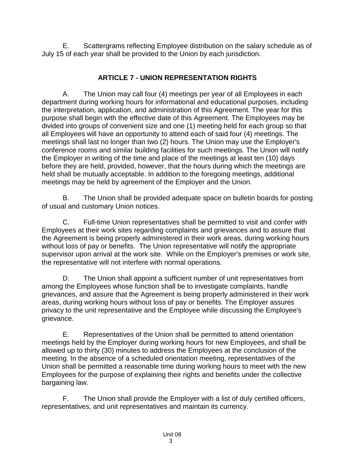E. Scattergrams reflecting Employee distribution on the salary schedule as of July 15 of each year shall be provided to the Union by each jurisdiction.

## **ARTICLE 7 - UNION REPRESENTATION RIGHTS**

<span id="page-5-0"></span>A. The Union may call four (4) meetings per year of all Employees in each department during working hours for informational and educational purposes, including the interpretation, application, and administration of this Agreement. The year for this purpose shall begin with the effective date of this Agreement. The Employees may be divided into groups of convenient size and one (1) meeting held for each group so that all Employees will have an opportunity to attend each of said four (4) meetings. The meetings shall last no longer than two (2) hours. The Union may use the Employer's conference rooms and similar building facilities for such meetings. The Union will notify the Employer in writing of the time and place of the meetings at least ten (10) days before they are held, provided, however, that the hours during which the meetings are held shall be mutually acceptable. In addition to the foregoing meetings, additional meetings may be held by agreement of the Employer and the Union.

B. The Union shall be provided adequate space on bulletin boards for posting of usual and customary Union notices.

C. Full-time Union representatives shall be permitted to visit and confer with Employees at their work sites regarding complaints and grievances and to assure that the Agreement is being properly administered in their work areas, during working hours without loss of pay or benefits. The Union representative will notify the appropriate supervisor upon arrival at the work site. While on the Employer's premises or work site, the representative will not interfere with normal operations.

D. The Union shall appoint a sufficient number of unit representatives from among the Employees whose function shall be to investigate complaints, handle grievances, and assure that the Agreement is being properly administered in their work areas, during working hours without loss of pay or benefits. The Employer assures privacy to the unit representative and the Employee while discussing the Employee's grievance.

E. Representatives of the Union shall be permitted to attend orientation meetings held by the Employer during working hours for new Employees, and shall be allowed up to thirty (30) minutes to address the Employees at the conclusion of the meeting. In the absence of a scheduled orientation meeting, representatives of the Union shall be permitted a reasonable time during working hours to meet with the new Employees for the purpose of explaining their rights and benefits under the collective bargaining law.

F. The Union shall provide the Employer with a list of duly certified officers, representatives, and unit representatives and maintain its currency.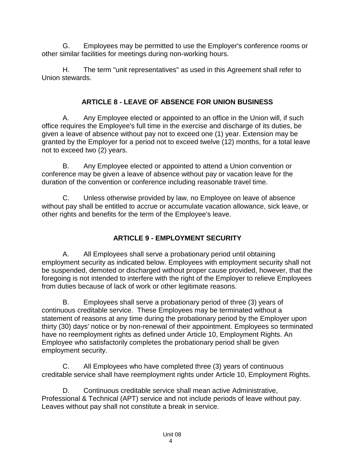G. Employees may be permitted to use the Employer's conference rooms or other similar facilities for meetings during non-working hours.

H. The term "unit representatives" as used in this Agreement shall refer to Union stewards.

## **ARTICLE 8 - LEAVE OF ABSENCE FOR UNION BUSINESS**

<span id="page-6-0"></span>A. Any Employee elected or appointed to an office in the Union will, if such office requires the Employee's full time in the exercise and discharge of its duties, be given a leave of absence without pay not to exceed one (1) year. Extension may be granted by the Employer for a period not to exceed twelve (12) months, for a total leave not to exceed two (2) years.

B. Any Employee elected or appointed to attend a Union convention or conference may be given a leave of absence without pay or vacation leave for the duration of the convention or conference including reasonable travel time.

C. Unless otherwise provided by law, no Employee on leave of absence without pay shall be entitled to accrue or accumulate vacation allowance, sick leave, or other rights and benefits for the term of the Employee's leave.

# **ARTICLE 9 - EMPLOYMENT SECURITY**

<span id="page-6-1"></span>A. All Employees shall serve a probationary period until obtaining employment security as indicated below. Employees with employment security shall not be suspended, demoted or discharged without proper cause provided, however, that the foregoing is not intended to interfere with the right of the Employer to relieve Employees from duties because of lack of work or other legitimate reasons.

B. Employees shall serve a probationary period of three (3) years of continuous creditable service. These Employees may be terminated without a statement of reasons at any time during the probationary period by the Employer upon thirty (30) days' notice or by non-renewal of their appointment. Employees so terminated have no reemployment rights as defined under Article 10, Employment Rights. An Employee who satisfactorily completes the probationary period shall be given employment security.

C. All Employees who have completed three (3) years of continuous creditable service shall have reemployment rights under Article 10, Employment Rights.

D. Continuous creditable service shall mean active Administrative, Professional & Technical (APT) service and not include periods of leave without pay. Leaves without pay shall not constitute a break in service.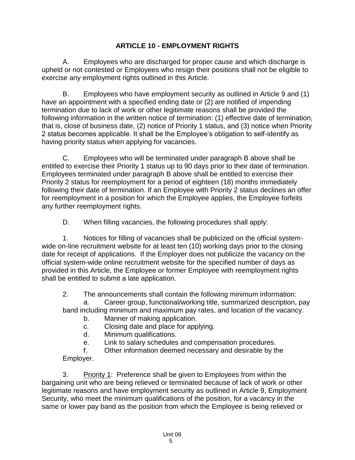### **ARTICLE 10 - EMPLOYMENT RIGHTS**

<span id="page-7-0"></span>A. Employees who are discharged for proper cause and which discharge is upheld or not contested or Employees who resign their positions shall not be eligible to exercise any employment rights outlined in this Article.

B. Employees who have employment security as outlined in Article 9 and (1) have an appointment with a specified ending date or (2) are notified of impending termination due to lack of work or other legitimate reasons shall be provided the following information in the written notice of termination: (1) effective date of termination, that is, close of business date, (2) notice of Priority 1 status, and (3) notice when Priority 2 status becomes applicable. It shall be the Employee's obligation to self-identify as having priority status when applying for vacancies.

C. Employees who will be terminated under paragraph B above shall be entitled to exercise their Priority 1 status up to 90 days prior to their date of termination. Employees terminated under paragraph B above shall be entitled to exercise their Priority 2 status for reemployment for a period of eighteen (18) months immediately following their date of termination. If an Employee with Priority 2 status declines an offer for reemployment in a position for which the Employee applies, the Employee forfeits any further reemployment rights.

D. When filling vacancies, the following procedures shall apply:

1. Notices for filling of vacancies shall be publicized on the official systemwide on-line recruitment website for at least ten (10) working days prior to the closing date for receipt of applications. If the Employer does not publicize the vacancy on the official system-wide online recruitment website for the specified number of days as provided in this Article, the Employee or former Employee with reemployment rights shall be entitled to submit a late application.

2. The announcements shall contain the following minimum information:

Career group, functional/working title, summarized description, pay band including minimum and maximum pay rates, and location of the vacancy.

- b. Manner of making application.
- c. Closing date and place for applying.
- d. Minimum qualifications.

e. Link to salary schedules and compensation procedures.

f. Other information deemed necessary and desirable by the Employer.

3. Priority 1: Preference shall be given to Employees from within the bargaining unit who are being relieved or terminated because of lack of work or other legitimate reasons and have employment security as outlined in Article 9, Employment Security, who meet the minimum qualifications of the position, for a vacancy in the same or lower pay band as the position from which the Employee is being relieved or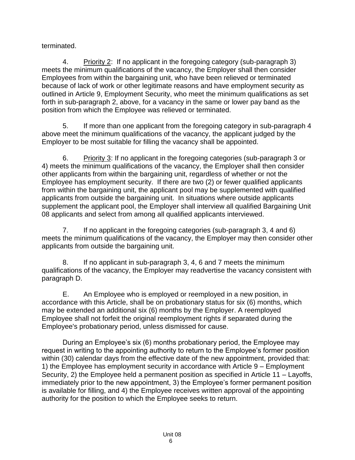terminated.

4. Priority 2: If no applicant in the foregoing category (sub-paragraph 3) meets the minimum qualifications of the vacancy, the Employer shall then consider Employees from within the bargaining unit, who have been relieved or terminated because of lack of work or other legitimate reasons and have employment security as outlined in Article 9, Employment Security, who meet the minimum qualifications as set forth in sub-paragraph 2, above, for a vacancy in the same or lower pay band as the position from which the Employee was relieved or terminated.

5. If more than one applicant from the foregoing category in sub-paragraph 4 above meet the minimum qualifications of the vacancy, the applicant judged by the Employer to be most suitable for filling the vacancy shall be appointed.

6. Priority 3: If no applicant in the foregoing categories (sub-paragraph 3 or 4) meets the minimum qualifications of the vacancy, the Employer shall then consider other applicants from within the bargaining unit, regardless of whether or not the Employee has employment security. If there are two (2) or fewer qualified applicants from within the bargaining unit, the applicant pool may be supplemented with qualified applicants from outside the bargaining unit. In situations where outside applicants supplement the applicant pool, the Employer shall interview all qualified Bargaining Unit 08 applicants and select from among all qualified applicants interviewed.

7. If no applicant in the foregoing categories (sub-paragraph 3, 4 and 6) meets the minimum qualifications of the vacancy, the Employer may then consider other applicants from outside the bargaining unit.

8. If no applicant in sub-paragraph 3, 4, 6 and 7 meets the minimum qualifications of the vacancy, the Employer may readvertise the vacancy consistent with paragraph D.

E. An Employee who is employed or reemployed in a new position, in accordance with this Article, shall be on probationary status for six (6) months, which may be extended an additional six (6) months by the Employer. A reemployed Employee shall not forfeit the original reemployment rights if separated during the Employee's probationary period, unless dismissed for cause.

During an Employee's six (6) months probationary period, the Employee may request in writing to the appointing authority to return to the Employee's former position within (30) calendar days from the effective date of the new appointment, provided that: 1) the Employee has employment security in accordance with Article 9 – Employment Security, 2) the Employee held a permanent position as specified in Article 11 – Layoffs, immediately prior to the new appointment, 3) the Employee's former permanent position is available for filling, and 4) the Employee receives written approval of the appointing authority for the position to which the Employee seeks to return.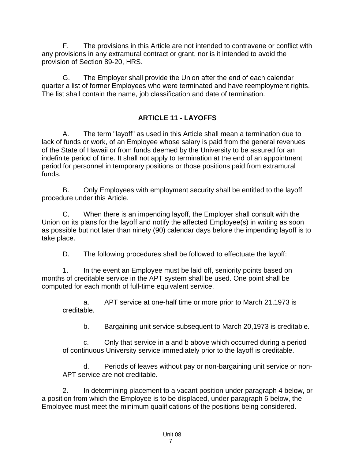F. The provisions in this Article are not intended to contravene or conflict with any provisions in any extramural contract or grant, nor is it intended to avoid the provision of Section 89-20, HRS.

G. The Employer shall provide the Union after the end of each calendar quarter a list of former Employees who were terminated and have reemployment rights. The list shall contain the name, job classification and date of termination.

# **ARTICLE 11 - LAYOFFS**

<span id="page-9-0"></span>A. The term "layoff" as used in this Article shall mean a termination due to lack of funds or work, of an Employee whose salary is paid from the general revenues of the State of Hawaii or from funds deemed by the University to be assured for an indefinite period of time. It shall not apply to termination at the end of an appointment period for personnel in temporary positions or those positions paid from extramural funds.

B. Only Employees with employment security shall be entitled to the layoff procedure under this Article.

C. When there is an impending layoff, the Employer shall consult with the Union on its plans for the layoff and notify the affected Employee(s) in writing as soon as possible but not later than ninety (90) calendar days before the impending layoff is to take place.

D. The following procedures shall be followed to effectuate the layoff:

1. In the event an Employee must be laid off, seniority points based on months of creditable service in the APT system shall be used. One point shall be computed for each month of full-time equivalent service.

a. APT service at one-half time or more prior to March 21,1973 is creditable.

b. Bargaining unit service subsequent to March 20,1973 is creditable.

c. Only that service in a and b above which occurred during a period of continuous University service immediately prior to the layoff is creditable.

d. Periods of leaves without pay or non-bargaining unit service or non-APT service are not creditable.

2. In determining placement to a vacant position under paragraph 4 below, or a position from which the Employee is to be displaced, under paragraph 6 below, the Employee must meet the minimum qualifications of the positions being considered.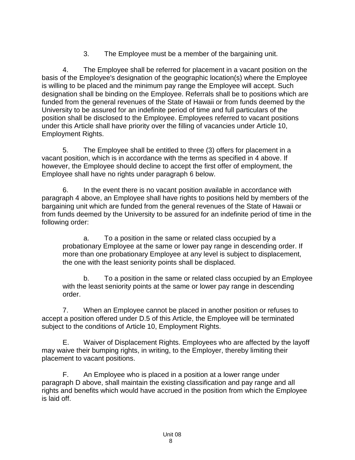3. The Employee must be a member of the bargaining unit.

4. The Employee shall be referred for placement in a vacant position on the basis of the Employee's designation of the geographic location(s) where the Employee is willing to be placed and the minimum pay range the Employee will accept. Such designation shall be binding on the Employee. Referrals shall be to positions which are funded from the general revenues of the State of Hawaii or from funds deemed by the University to be assured for an indefinite period of time and full particulars of the position shall be disclosed to the Employee. Employees referred to vacant positions under this Article shall have priority over the filling of vacancies under Article 10, Employment Rights.

5. The Employee shall be entitled to three (3) offers for placement in a vacant position, which is in accordance with the terms as specified in 4 above. If however, the Employee should decline to accept the first offer of employment, the Employee shall have no rights under paragraph 6 below.

6. In the event there is no vacant position available in accordance with paragraph 4 above, an Employee shall have rights to positions held by members of the bargaining unit which are funded from the general revenues of the State of Hawaii or from funds deemed by the University to be assured for an indefinite period of time in the following order:

a. To a position in the same or related class occupied by a probationary Employee at the same or lower pay range in descending order. If more than one probationary Employee at any level is subject to displacement, the one with the least seniority points shall be displaced.

b. To a position in the same or related class occupied by an Employee with the least seniority points at the same or lower pay range in descending order.

7. When an Employee cannot be placed in another position or refuses to accept a position offered under D.5 of this Article, the Employee will be terminated subject to the conditions of Article 10, Employment Rights.

E. Waiver of Displacement Rights. Employees who are affected by the layoff may waive their bumping rights, in writing, to the Employer, thereby limiting their placement to vacant positions.

F. An Employee who is placed in a position at a lower range under paragraph D above, shall maintain the existing classification and pay range and all rights and benefits which would have accrued in the position from which the Employee is laid off.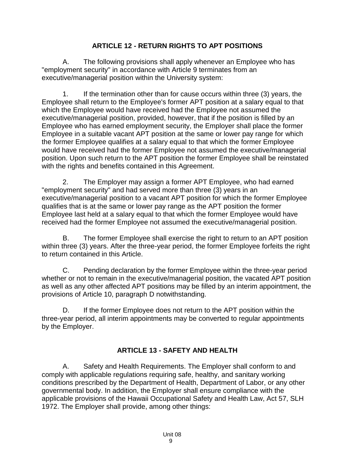#### **ARTICLE 12 - RETURN RIGHTS TO APT POSITIONS**

<span id="page-11-0"></span>A. The following provisions shall apply whenever an Employee who has "employment security" in accordance with Article 9 terminates from an executive/managerial position within the University system:

1. If the termination other than for cause occurs within three (3) years, the Employee shall return to the Employee's former APT position at a salary equal to that which the Employee would have received had the Employee not assumed the executive/managerial position, provided, however, that if the position is filled by an Employee who has earned employment security, the Employer shall place the former Employee in a suitable vacant APT position at the same or lower pay range for which the former Employee qualifies at a salary equal to that which the former Employee would have received had the former Employee not assumed the executive/managerial position. Upon such return to the APT position the former Employee shall be reinstated with the rights and benefits contained in this Agreement.

2. The Employer may assign a former APT Employee, who had earned "employment security" and had served more than three (3) years in an executive/managerial position to a vacant APT position for which the former Employee qualifies that is at the same or lower pay range as the APT position the former Employee last held at a salary equal to that which the former Employee would have received had the former Employee not assumed the executive/managerial position.

B. The former Employee shall exercise the right to return to an APT position within three (3) years. After the three-year period, the former Employee forfeits the right to return contained in this Article.

C. Pending declaration by the former Employee within the three-year period whether or not to remain in the executive/managerial position, the vacated APT position as well as any other affected APT positions may be filled by an interim appointment, the provisions of Article 10, paragraph D notwithstanding.

D. If the former Employee does not return to the APT position within the three-year period, all interim appointments may be converted to regular appointments by the Employer.

# **ARTICLE 13 - SAFETY AND HEALTH**

<span id="page-11-1"></span>A. Safety and Health Requirements. The Employer shall conform to and comply with applicable regulations requiring safe, healthy, and sanitary working conditions prescribed by the Department of Health, Department of Labor, or any other governmental body. In addition, the Employer shall ensure compliance with the applicable provisions of the Hawaii Occupational Safety and Health Law, Act 57, SLH 1972. The Employer shall provide, among other things: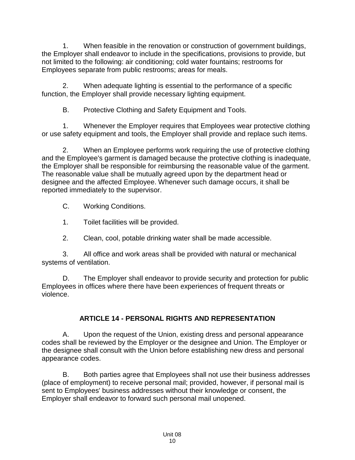1. When feasible in the renovation or construction of government buildings, the Employer shall endeavor to include in the specifications, provisions to provide, but not limited to the following: air conditioning; cold water fountains; restrooms for Employees separate from public restrooms; areas for meals.

2. When adequate lighting is essential to the performance of a specific function, the Employer shall provide necessary lighting equipment.

B. Protective Clothing and Safety Equipment and Tools.

1. Whenever the Employer requires that Employees wear protective clothing or use safety equipment and tools, the Employer shall provide and replace such items.

2. When an Employee performs work requiring the use of protective clothing and the Employee's garment is damaged because the protective clothing is inadequate, the Employer shall be responsible for reimbursing the reasonable value of the garment. The reasonable value shall be mutually agreed upon by the department head or designee and the affected Employee. Whenever such damage occurs, it shall be reported immediately to the supervisor.

C. Working Conditions.

1. Toilet facilities will be provided.

2. Clean, cool, potable drinking water shall be made accessible.

3. All office and work areas shall be provided with natural or mechanical systems of ventilation.

D. The Employer shall endeavor to provide security and protection for public Employees in offices where there have been experiences of frequent threats or violence.

# **ARTICLE 14 - PERSONAL RIGHTS AND REPRESENTATION**

<span id="page-12-0"></span>A. Upon the request of the Union, existing dress and personal appearance codes shall be reviewed by the Employer or the designee and Union. The Employer or the designee shall consult with the Union before establishing new dress and personal appearance codes.

B. Both parties agree that Employees shall not use their business addresses (place of employment) to receive personal mail; provided, however, if personal mail is sent to Employees' business addresses without their knowledge or consent, the Employer shall endeavor to forward such personal mail unopened.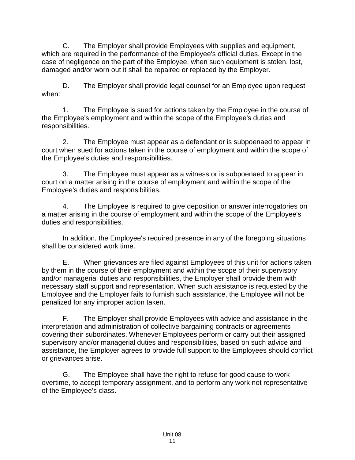C. The Employer shall provide Employees with supplies and equipment, which are required in the performance of the Employee's official duties. Except in the case of negligence on the part of the Employee, when such equipment is stolen, lost, damaged and/or worn out it shall be repaired or replaced by the Employer.

D. The Employer shall provide legal counsel for an Employee upon request when:

1. The Employee is sued for actions taken by the Employee in the course of the Employee's employment and within the scope of the Employee's duties and responsibilities.

2. The Employee must appear as a defendant or is subpoenaed to appear in court when sued for actions taken in the course of employment and within the scope of the Employee's duties and responsibilities.

3. The Employee must appear as a witness or is subpoenaed to appear in court on a matter arising in the course of employment and within the scope of the Employee's duties and responsibilities.

4. The Employee is required to give deposition or answer interrogatories on a matter arising in the course of employment and within the scope of the Employee's duties and responsibilities.

In addition, the Employee's required presence in any of the foregoing situations shall be considered work time.

E. When grievances are filed against Employees of this unit for actions taken by them in the course of their employment and within the scope of their supervisory and/or managerial duties and responsibilities, the Employer shall provide them with necessary staff support and representation. When such assistance is requested by the Employee and the Employer fails to furnish such assistance, the Employee will not be penalized for any improper action taken.

F. The Employer shall provide Employees with advice and assistance in the interpretation and administration of collective bargaining contracts or agreements covering their subordinates. Whenever Employees perform or carry out their assigned supervisory and/or managerial duties and responsibilities, based on such advice and assistance, the Employer agrees to provide full support to the Employees should conflict or grievances arise.

G. The Employee shall have the right to refuse for good cause to work overtime, to accept temporary assignment, and to perform any work not representative of the Employee's class.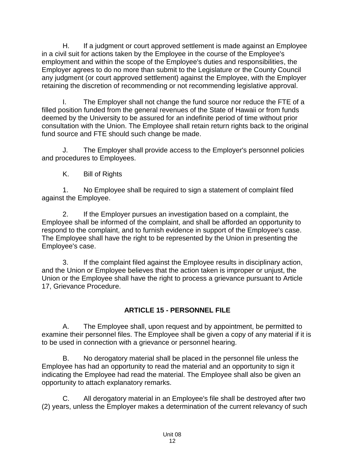H. If a judgment or court approved settlement is made against an Employee in a civil suit for actions taken by the Employee in the course of the Employee's employment and within the scope of the Employee's duties and responsibilities, the Employer agrees to do no more than submit to the Legislature or the County Council any judgment (or court approved settlement) against the Employee, with the Employer retaining the discretion of recommending or not recommending legislative approval.

I. The Employer shall not change the fund source nor reduce the FTE of a filled position funded from the general revenues of the State of Hawaii or from funds deemed by the University to be assured for an indefinite period of time without prior consultation with the Union. The Employee shall retain return rights back to the original fund source and FTE should such change be made.

J. The Employer shall provide access to the Employer's personnel policies and procedures to Employees.

K. Bill of Rights

1. No Employee shall be required to sign a statement of complaint filed against the Employee.

2. If the Employer pursues an investigation based on a complaint, the Employee shall be informed of the complaint, and shall be afforded an opportunity to respond to the complaint, and to furnish evidence in support of the Employee's case. The Employee shall have the right to be represented by the Union in presenting the Employee's case.

3. If the complaint filed against the Employee results in disciplinary action, and the Union or Employee believes that the action taken is improper or unjust, the Union or the Employee shall have the right to process a grievance pursuant to Article 17, Grievance Procedure.

# **ARTICLE 15 - PERSONNEL FILE**

<span id="page-14-0"></span>A. The Employee shall, upon request and by appointment, be permitted to examine their personnel files. The Employee shall be given a copy of any material if it is to be used in connection with a grievance or personnel hearing.

B. No derogatory material shall be placed in the personnel file unless the Employee has had an opportunity to read the material and an opportunity to sign it indicating the Employee had read the material. The Employee shall also be given an opportunity to attach explanatory remarks.

C. All derogatory material in an Employee's file shall be destroyed after two (2) years, unless the Employer makes a determination of the current relevancy of such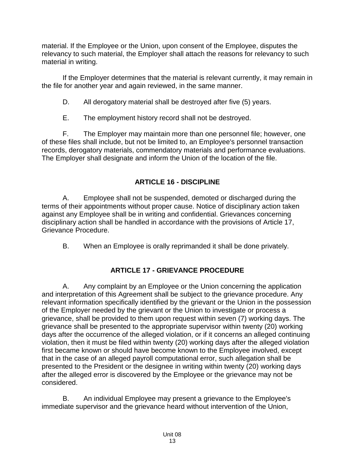material. If the Employee or the Union, upon consent of the Employee, disputes the relevancy to such material, the Employer shall attach the reasons for relevancy to such material in writing.

If the Employer determines that the material is relevant currently, it may remain in the file for another year and again reviewed, in the same manner.

D. All derogatory material shall be destroyed after five (5) years.

E. The employment history record shall not be destroyed.

F. The Employer may maintain more than one personnel file; however, one of these files shall include, but not be limited to, an Employee's personnel transaction records, derogatory materials, commendatory materials and performance evaluations. The Employer shall designate and inform the Union of the location of the file.

# **ARTICLE 16 - DISCIPLINE**

<span id="page-15-0"></span>A. Employee shall not be suspended, demoted or discharged during the terms of their appointments without proper cause. Notice of disciplinary action taken against any Employee shall be in writing and confidential. Grievances concerning disciplinary action shall be handled in accordance with the provisions of Article 17, Grievance Procedure.

B. When an Employee is orally reprimanded it shall be done privately.

# **ARTICLE 17 - GRIEVANCE PROCEDURE**

<span id="page-15-1"></span>A. Any complaint by an Employee or the Union concerning the application and interpretation of this Agreement shall be subject to the grievance procedure. Any relevant information specifically identified by the grievant or the Union in the possession of the Employer needed by the grievant or the Union to investigate or process a grievance, shall be provided to them upon request within seven (7) working days. The grievance shall be presented to the appropriate supervisor within twenty (20) working days after the occurrence of the alleged violation, or if it concerns an alleged continuing violation, then it must be filed within twenty (20) working days after the alleged violation first became known or should have become known to the Employee involved, except that in the case of an alleged payroll computational error, such allegation shall be presented to the President or the designee in writing within twenty (20) working days after the alleged error is discovered by the Employee or the grievance may not be considered.

B. An individual Employee may present a grievance to the Employee's immediate supervisor and the grievance heard without intervention of the Union,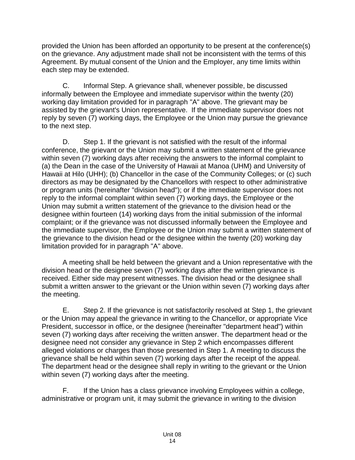provided the Union has been afforded an opportunity to be present at the conference(s) on the grievance. Any adjustment made shall not be inconsistent with the terms of this Agreement. By mutual consent of the Union and the Employer, any time limits within each step may be extended.

C. Informal Step. A grievance shall, whenever possible, be discussed informally between the Employee and immediate supervisor within the twenty (20) working day limitation provided for in paragraph "A" above. The grievant may be assisted by the grievant's Union representative. If the immediate supervisor does not reply by seven (7) working days, the Employee or the Union may pursue the grievance to the next step.

D. Step 1. If the grievant is not satisfied with the result of the informal conference, the grievant or the Union may submit a written statement of the grievance within seven (7) working days after receiving the answers to the informal complaint to (a) the Dean in the case of the University of Hawaii at Manoa (UHM) and University of Hawaii at Hilo (UHH); (b) Chancellor in the case of the Community Colleges; or (c) such directors as may be designated by the Chancellors with respect to other administrative or program units (hereinafter "division head"); or if the immediate supervisor does not reply to the informal complaint within seven (7) working days, the Employee or the Union may submit a written statement of the grievance to the division head or the designee within fourteen (14) working days from the initial submission of the informal complaint; or if the grievance was not discussed informally between the Employee and the immediate supervisor, the Employee or the Union may submit a written statement of the grievance to the division head or the designee within the twenty (20) working day limitation provided for in paragraph "A" above.

A meeting shall be held between the grievant and a Union representative with the division head or the designee seven (7) working days after the written grievance is received. Either side may present witnesses. The division head or the designee shall submit a written answer to the grievant or the Union within seven (7) working days after the meeting.

E. Step 2. If the grievance is not satisfactorily resolved at Step 1, the grievant or the Union may appeal the grievance in writing to the Chancellor, or appropriate Vice President, successor in office, or the designee (hereinafter "department head") within seven (7) working days after receiving the written answer. The department head or the designee need not consider any grievance in Step 2 which encompasses different alleged violations or charges than those presented in Step 1. A meeting to discuss the grievance shall be held within seven (7) working days after the receipt of the appeal. The department head or the designee shall reply in writing to the grievant or the Union within seven (7) working days after the meeting.

F. If the Union has a class grievance involving Employees within a college, administrative or program unit, it may submit the grievance in writing to the division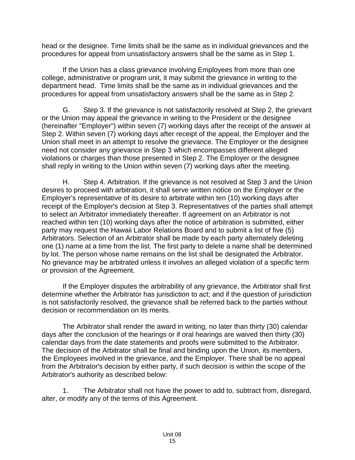head or the designee. Time limits shall be the same as in individual grievances and the procedures for appeal from unsatisfactory answers shall be the same as in Step 1.

If the Union has a class grievance involving Employees from more than one college, administrative or program unit, it may submit the grievance in writing to the department head. Time limits shall be the same as in individual grievances and the procedures for appeal from unsatisfactory answers shall be the same as in Step 2.

G. Step 3. If the grievance is not satisfactorily resolved at Step 2, the grievant or the Union may appeal the grievance in writing to the President or the designee (hereinafter "Employer") within seven (7) working days after the receipt of the answer at Step 2. Within seven (7) working days after receipt of the appeal, the Employer and the Union shall meet in an attempt to resolve the grievance. The Employer or the designee need not consider any grievance in Step 3 which encompasses different alleged violations or charges than those presented in Step 2. The Employer or the designee shall reply in writing to the Union within seven (7) working days after the meeting.

H. Step 4. Arbitration. If the grievance is not resolved at Step 3 and the Union desires to proceed with arbitration, it shall serve written notice on the Employer or the Employer's representative of its desire to arbitrate within ten (10) working days after receipt of the Employer's decision at Step 3. Representatives of the parties shall attempt to select an Arbitrator immediately thereafter. If agreement on an Arbitrator is not reached within ten (10) working days after the notice of arbitration is submitted, either party may request the Hawaii Labor Relations Board and to submit a list of five (5) Arbitrators. Selection of an Arbitrator shall be made by each party alternately deleting one (1) name at a time from the list. The first party to delete a name shall be determined by lot. The person whose name remains on the list shall be designated the Arbitrator. No grievance may be arbitrated unless it involves an alleged violation of a specific term or provision of the Agreement.

If the Employer disputes the arbitrability of any grievance, the Arbitrator shall first determine whether the Arbitrator has jurisdiction to act; and if the question of jurisdiction is not satisfactorily resolved, the grievance shall be referred back to the parties without decision or recommendation on its merits.

The Arbitrator shall render the award in writing, no later than thirty (30) calendar days after the conclusion of the hearings or if oral hearings are waived then thirty (30) calendar days from the date statements and proofs were submitted to the Arbitrator. The decision of the Arbitrator shall be final and binding upon the Union, its members, the Employees involved in the grievance, and the Employer. There shall be no appeal from the Arbitrator's decision by either party, if such decision is within the scope of the Arbitrator's authority as described below:

1. The Arbitrator shall not have the power to add to, subtract from, disregard, alter, or modify any of the terms of this Agreement.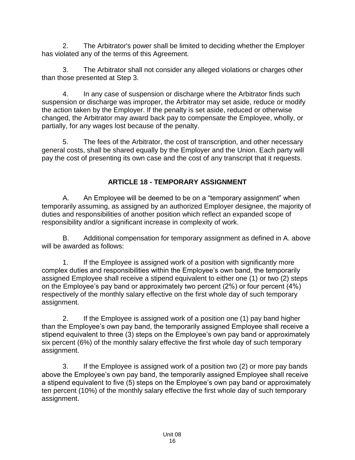2. The Arbitrator's power shall be limited to deciding whether the Employer has violated any of the terms of this Agreement.

3. The Arbitrator shall not consider any alleged violations or charges other than those presented at Step 3.

4. In any case of suspension or discharge where the Arbitrator finds such suspension or discharge was improper, the Arbitrator may set aside, reduce or modify the action taken by the Employer. If the penalty is set aside, reduced or otherwise changed, the Arbitrator may award back pay to compensate the Employee, wholly, or partially, for any wages lost because of the penalty.

5. The fees of the Arbitrator, the cost of transcription, and other necessary general costs, shall be shared equally by the Employer and the Union. Each party will pay the cost of presenting its own case and the cost of any transcript that it requests.

## **ARTICLE 18 - TEMPORARY ASSIGNMENT**

<span id="page-18-0"></span>A. An Employee will be deemed to be on a "temporary assignment" when temporarily assuming, as assigned by an authorized Employer designee, the majority of duties and responsibilities of another position which reflect an expanded scope of responsibility and/or a significant increase in complexity of work.

B. Additional compensation for temporary assignment as defined in A. above will be awarded as follows:

1. If the Employee is assigned work of a position with significantly more complex duties and responsibilities within the Employee's own band, the temporarily assigned Employee shall receive a stipend equivalent to either one (1) or two (2) steps on the Employee's pay band or approximately two percent (2%) or four percent (4%) respectively of the monthly salary effective on the first whole day of such temporary assignment.

2. If the Employee is assigned work of a position one (1) pay band higher than the Employee's own pay band, the temporarily assigned Employee shall receive a stipend equivalent to three (3) steps on the Employee's own pay band or approximately six percent (6%) of the monthly salary effective the first whole day of such temporary assignment.

3. If the Employee is assigned work of a position two (2) or more pay bands above the Employee's own pay band, the temporarily assigned Employee shall receive a stipend equivalent to five (5) steps on the Employee's own pay band or approximately ten percent (10%) of the monthly salary effective the first whole day of such temporary assignment.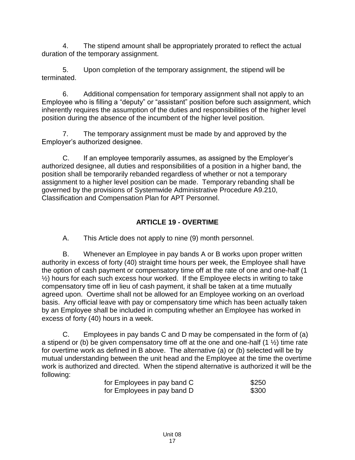4. The stipend amount shall be appropriately prorated to reflect the actual duration of the temporary assignment.

5. Upon completion of the temporary assignment, the stipend will be terminated.

6. Additional compensation for temporary assignment shall not apply to an Employee who is filling a "deputy" or "assistant" position before such assignment, which inherently requires the assumption of the duties and responsibilities of the higher level position during the absence of the incumbent of the higher level position.

7. The temporary assignment must be made by and approved by the Employer's authorized designee.

C. If an employee temporarily assumes, as assigned by the Employer's authorized designee, all duties and responsibilities of a position in a higher band, the position shall be temporarily rebanded regardless of whether or not a temporary assignment to a higher level position can be made. Temporary rebanding shall be governed by the provisions of Systemwide Administrative Procedure A9.210, Classification and Compensation Plan for APT Personnel.

## **ARTICLE 19 - OVERTIME**

<span id="page-19-0"></span>A. This Article does not apply to nine (9) month personnel.

B. Whenever an Employee in pay bands A or B works upon proper written authority in excess of forty (40) straight time hours per week, the Employee shall have the option of cash payment or compensatory time off at the rate of one and one-half (1 ½) hours for each such excess hour worked. If the Employee elects in writing to take compensatory time off in lieu of cash payment, it shall be taken at a time mutually agreed upon. Overtime shall not be allowed for an Employee working on an overload basis. Any official leave with pay or compensatory time which has been actually taken by an Employee shall be included in computing whether an Employee has worked in excess of forty (40) hours in a week.

C. Employees in pay bands C and D may be compensated in the form of (a) a stipend or (b) be given compensatory time off at the one and one-half  $(1 \frac{1}{2})$  time rate for overtime work as defined in B above. The alternative (a) or (b) selected will be by mutual understanding between the unit head and the Employee at the time the overtime work is authorized and directed. When the stipend alternative is authorized it will be the following:

| for Employees in pay band C | \$250 |
|-----------------------------|-------|
| for Employees in pay band D | \$300 |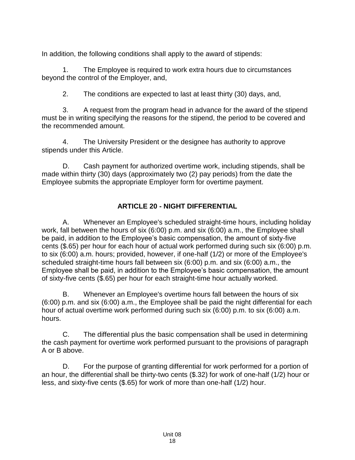In addition, the following conditions shall apply to the award of stipends:

1. The Employee is required to work extra hours due to circumstances beyond the control of the Employer, and,

2. The conditions are expected to last at least thirty (30) days, and,

3. A request from the program head in advance for the award of the stipend must be in writing specifying the reasons for the stipend, the period to be covered and the recommended amount.

4. The University President or the designee has authority to approve stipends under this Article.

D. Cash payment for authorized overtime work, including stipends, shall be made within thirty (30) days (approximately two (2) pay periods) from the date the Employee submits the appropriate Employer form for overtime payment.

## **ARTICLE 20 - NIGHT DIFFERENTIAL**

<span id="page-20-0"></span>A. Whenever an Employee's scheduled straight-time hours, including holiday work, fall between the hours of six (6:00) p.m. and six (6:00) a.m., the Employee shall be paid, in addition to the Employee's basic compensation, the amount of sixty-five cents (\$.65) per hour for each hour of actual work performed during such six (6:00) p.m. to six (6:00) a.m. hours; provided, however, if one-half (1/2) or more of the Employee's scheduled straight-time hours fall between six (6:00) p.m. and six (6:00) a.m., the Employee shall be paid, in addition to the Employee's basic compensation, the amount of sixty-five cents (\$.65) per hour for each straight-time hour actually worked.

B. Whenever an Employee's overtime hours fall between the hours of six (6:00) p.m. and six (6:00) a.m., the Employee shall be paid the night differential for each hour of actual overtime work performed during such six (6:00) p.m. to six (6:00) a.m. hours.

C. The differential plus the basic compensation shall be used in determining the cash payment for overtime work performed pursuant to the provisions of paragraph A or B above.

D. For the purpose of granting differential for work performed for a portion of an hour, the differential shall be thirty-two cents (\$.32) for work of one-half (1/2) hour or less, and sixty-five cents (\$.65) for work of more than one-half (1/2) hour.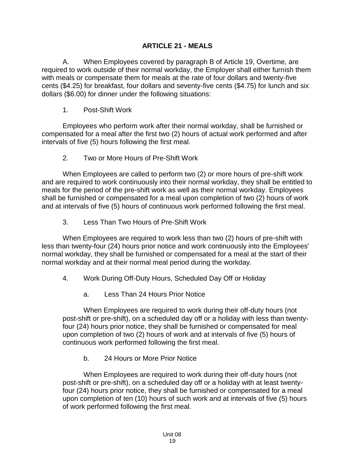#### **ARTICLE 21 - MEALS**

<span id="page-21-0"></span>A. When Employees covered by paragraph B of Article 19, Overtime, are required to work outside of their normal workday, the Employer shall either furnish them with meals or compensate them for meals at the rate of four dollars and twenty-five cents (\$4.25) for breakfast, four dollars and seventy-five cents (\$4.75) for lunch and six dollars (\$6.00) for dinner under the following situations:

1. Post-Shift Work

Employees who perform work after their normal workday, shall be furnished or compensated for a meal after the first two (2) hours of actual work performed and after intervals of five (5) hours following the first meal.

2. Two or More Hours of Pre-Shift Work

When Employees are called to perform two (2) or more hours of pre-shift work and are required to work continuously into their normal workday, they shall be entitled to meals for the period of the pre-shift work as well as their normal workday. Employees shall be furnished or compensated for a meal upon completion of two (2) hours of work and at intervals of five (5) hours of continuous work performed following the first meal.

3. Less Than Two Hours of Pre-Shift Work

When Employees are required to work less than two (2) hours of pre-shift with less than twenty-four (24) hours prior notice and work continuously into the Employees' normal workday, they shall be furnished or compensated for a meal at the start of their normal workday and at their normal meal period during the workday.

- 4. Work During Off-Duty Hours, Scheduled Day Off or Holiday
	- a. Less Than 24 Hours Prior Notice

When Employees are required to work during their off-duty hours (not post-shift or pre-shift), on a scheduled day off or a holiday with less than twentyfour (24) hours prior notice, they shall be furnished or compensated for meal upon completion of two (2) hours of work and at intervals of five (5) hours of continuous work performed following the first meal.

b. 24 Hours or More Prior Notice

When Employees are required to work during their off-duty hours (not post-shift or pre-shift), on a scheduled day off or a holiday with at least twentyfour (24) hours prior notice, they shall be furnished or compensated for a meal upon completion of ten (10) hours of such work and at intervals of five (5) hours of work performed following the first meal.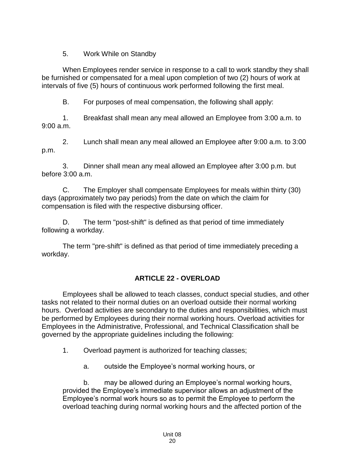5. Work While on Standby

When Employees render service in response to a call to work standby they shall be furnished or compensated for a meal upon completion of two (2) hours of work at intervals of five (5) hours of continuous work performed following the first meal.

B. For purposes of meal compensation, the following shall apply:

1. Breakfast shall mean any meal allowed an Employee from 3:00 a.m. to 9:00 a.m.

2. Lunch shall mean any meal allowed an Employee after 9:00 a.m. to 3:00 p.m.

3. Dinner shall mean any meal allowed an Employee after 3:00 p.m. but before 3:00 a.m.

C. The Employer shall compensate Employees for meals within thirty (30) days (approximately two pay periods) from the date on which the claim for compensation is filed with the respective disbursing officer.

D. The term "post-shift" is defined as that period of time immediately following a workday.

The term "pre-shift" is defined as that period of time immediately preceding a workday.

# **ARTICLE 22 - OVERLOAD**

<span id="page-22-0"></span>Employees shall be allowed to teach classes, conduct special studies, and other tasks not related to their normal duties on an overload outside their normal working hours. Overload activities are secondary to the duties and responsibilities, which must be performed by Employees during their normal working hours. Overload activities for Employees in the Administrative, Professional, and Technical Classification shall be governed by the appropriate guidelines including the following:

1. Overload payment is authorized for teaching classes;

a. outside the Employee's normal working hours, or

b. may be allowed during an Employee's normal working hours, provided the Employee's immediate supervisor allows an adjustment of the Employee's normal work hours so as to permit the Employee to perform the overload teaching during normal working hours and the affected portion of the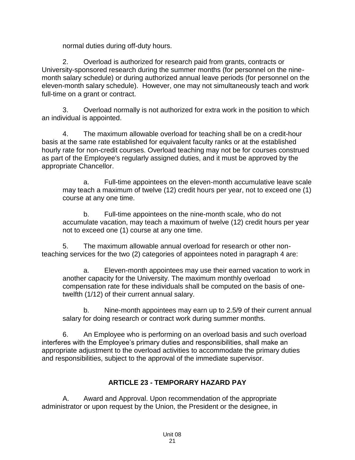normal duties during off-duty hours.

2. Overload is authorized for research paid from grants, contracts or University-sponsored research during the summer months (for personnel on the ninemonth salary schedule) or during authorized annual leave periods (for personnel on the eleven-month salary schedule). However, one may not simultaneously teach and work full-time on a grant or contract.

3. Overload normally is not authorized for extra work in the position to which an individual is appointed.

4. The maximum allowable overload for teaching shall be on a credit-hour basis at the same rate established for equivalent faculty ranks or at the established hourly rate for non-credit courses. Overload teaching may not be for courses construed as part of the Employee's regularly assigned duties, and it must be approved by the appropriate Chancellor.

a. Full-time appointees on the eleven-month accumulative leave scale may teach a maximum of twelve (12) credit hours per year, not to exceed one (1) course at any one time.

b. Full-time appointees on the nine-month scale, who do not accumulate vacation, may teach a maximum of twelve (12) credit hours per year not to exceed one (1) course at any one time.

5. The maximum allowable annual overload for research or other nonteaching services for the two (2) categories of appointees noted in paragraph 4 are:

a. Eleven-month appointees may use their earned vacation to work in another capacity for the University. The maximum monthly overload compensation rate for these individuals shall be computed on the basis of onetwelfth (1/12) of their current annual salary.

b. Nine-month appointees may earn up to 2.5/9 of their current annual salary for doing research or contract work during summer months.

6. An Employee who is performing on an overload basis and such overload interferes with the Employee's primary duties and responsibilities, shall make an appropriate adjustment to the overload activities to accommodate the primary duties and responsibilities, subject to the approval of the immediate supervisor.

### **ARTICLE 23 - TEMPORARY HAZARD PAY**

<span id="page-23-0"></span>A. Award and Approval. Upon recommendation of the appropriate administrator or upon request by the Union, the President or the designee, in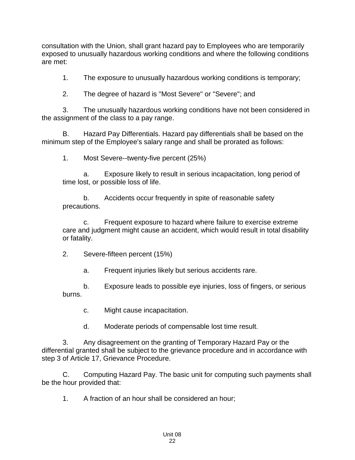consultation with the Union, shall grant hazard pay to Employees who are temporarily exposed to unusually hazardous working conditions and where the following conditions are met:

1. The exposure to unusually hazardous working conditions is temporary;

2. The degree of hazard is "Most Severe" or "Severe"; and

3. The unusually hazardous working conditions have not been considered in the assignment of the class to a pay range.

B. Hazard Pay Differentials. Hazard pay differentials shall be based on the minimum step of the Employee's salary range and shall be prorated as follows:

1. Most Severe--twenty-five percent (25%)

a. Exposure likely to result in serious incapacitation, long period of time lost, or possible loss of life.

b. Accidents occur frequently in spite of reasonable safety precautions.

c. Frequent exposure to hazard where failure to exercise extreme care and judgment might cause an accident, which would result in total disability or fatality.

2. Severe-fifteen percent (15%)

a. Frequent injuries likely but serious accidents rare.

b. Exposure leads to possible eye injuries, loss of fingers, or serious burns.

c. Might cause incapacitation.

d. Moderate periods of compensable lost time result.

3. Any disagreement on the granting of Temporary Hazard Pay or the differential granted shall be subject to the grievance procedure and in accordance with step 3 of Article 17, Grievance Procedure.

C. Computing Hazard Pay. The basic unit for computing such payments shall be the hour provided that:

1. A fraction of an hour shall be considered an hour;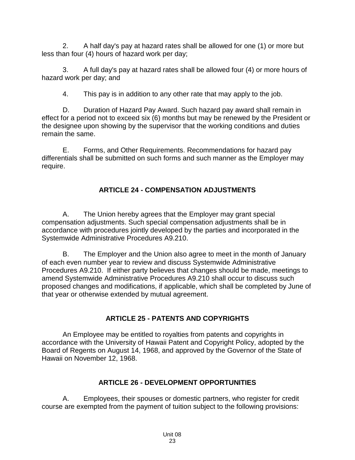2. A half day's pay at hazard rates shall be allowed for one (1) or more but less than four (4) hours of hazard work per day;

3. A full day's pay at hazard rates shall be allowed four (4) or more hours of hazard work per day; and

4. This pay is in addition to any other rate that may apply to the job.

D. Duration of Hazard Pay Award. Such hazard pay award shall remain in effect for a period not to exceed six (6) months but may be renewed by the President or the designee upon showing by the supervisor that the working conditions and duties remain the same.

E. Forms, and Other Requirements. Recommendations for hazard pay differentials shall be submitted on such forms and such manner as the Employer may require.

# **ARTICLE 24 - COMPENSATION ADJUSTMENTS**

<span id="page-25-0"></span>A. The Union hereby agrees that the Employer may grant special compensation adjustments. Such special compensation adjustments shall be in accordance with procedures jointly developed by the parties and incorporated in the Systemwide Administrative Procedures A9.210.

B. The Employer and the Union also agree to meet in the month of January of each even number year to review and discuss Systemwide Administrative Procedures A9.210. If either party believes that changes should be made, meetings to amend Systemwide Administrative Procedures A9.210 shall occur to discuss such proposed changes and modifications, if applicable, which shall be completed by June of that year or otherwise extended by mutual agreement.

# **ARTICLE 25 - PATENTS AND COPYRIGHTS**

<span id="page-25-1"></span>An Employee may be entitled to royalties from patents and copyrights in accordance with the University of Hawaii Patent and Copyright Policy, adopted by the Board of Regents on August 14, 1968, and approved by the Governor of the State of Hawaii on November 12, 1968.

# **ARTICLE 26 - DEVELOPMENT OPPORTUNITIES**

<span id="page-25-2"></span>A. Employees, their spouses or domestic partners, who register for credit course are exempted from the payment of tuition subject to the following provisions: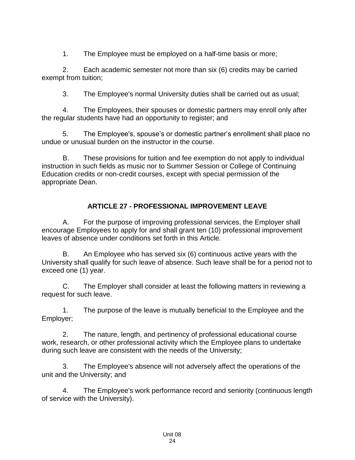1. The Employee must be employed on a half-time basis or more;

2. Each academic semester not more than six (6) credits may be carried exempt from tuition;

3. The Employee's normal University duties shall be carried out as usual;

4. The Employees, their spouses or domestic partners may enroll only after the regular students have had an opportunity to register; and

5. The Employee's, spouse's or domestic partner's enrollment shall place no undue or unusual burden on the instructor in the course.

B. These provisions for tuition and fee exemption do not apply to individual instruction in such fields as music nor to Summer Session or College of Continuing Education credits or non-credit courses, except with special permission of the appropriate Dean.

## **ARTICLE 27 - PROFESSIONAL IMPROVEMENT LEAVE**

<span id="page-26-0"></span>A. For the purpose of improving professional services, the Employer shall encourage Employees to apply for and shall grant ten (10) professional improvement leaves of absence under conditions set forth in this Article.

B. An Employee who has served six (6) continuous active years with the University shall qualify for such leave of absence. Such leave shall be for a period not to exceed one (1) year.

C. The Employer shall consider at least the following matters in reviewing a request for such leave.

1. The purpose of the leave is mutually beneficial to the Employee and the Employer;

2. The nature, length, and pertinency of professional educational course work, research, or other professional activity which the Employee plans to undertake during such leave are consistent with the needs of the University;

3. The Employee's absence will not adversely affect the operations of the unit and the University; and

4. The Employee's work performance record and seniority (continuous length of service with the University).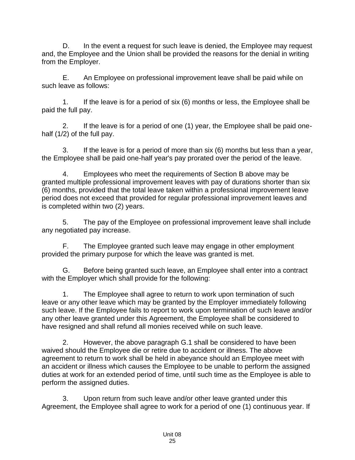D. In the event a request for such leave is denied, the Employee may request and, the Employee and the Union shall be provided the reasons for the denial in writing from the Employer.

E. An Employee on professional improvement leave shall be paid while on such leave as follows:

1. If the leave is for a period of six (6) months or less, the Employee shall be paid the full pay.

2. If the leave is for a period of one (1) year, the Employee shall be paid onehalf (1/2) of the full pay.

3. If the leave is for a period of more than six (6) months but less than a year, the Employee shall be paid one-half year's pay prorated over the period of the leave.

4. Employees who meet the requirements of Section B above may be granted multiple professional improvement leaves with pay of durations shorter than six (6) months, provided that the total leave taken within a professional improvement leave period does not exceed that provided for regular professional improvement leaves and is completed within two (2) years.

5. The pay of the Employee on professional improvement leave shall include any negotiated pay increase.

F. The Employee granted such leave may engage in other employment provided the primary purpose for which the leave was granted is met.

G. Before being granted such leave, an Employee shall enter into a contract with the Employer which shall provide for the following:

1. The Employee shall agree to return to work upon termination of such leave or any other leave which may be granted by the Employer immediately following such leave. If the Employee fails to report to work upon termination of such leave and/or any other leave granted under this Agreement, the Employee shall be considered to have resigned and shall refund all monies received while on such leave.

2. However, the above paragraph G.1 shall be considered to have been waived should the Employee die or retire due to accident or illness. The above agreement to return to work shall be held in abeyance should an Employee meet with an accident or illness which causes the Employee to be unable to perform the assigned duties at work for an extended period of time, until such time as the Employee is able to perform the assigned duties.

3. Upon return from such leave and/or other leave granted under this Agreement, the Employee shall agree to work for a period of one (1) continuous year. If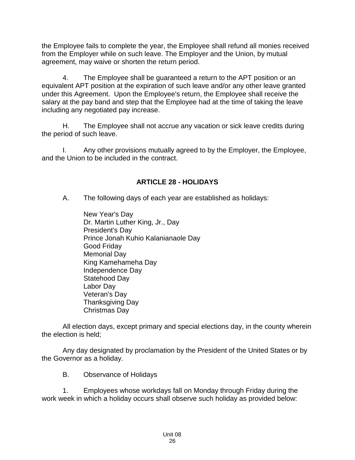the Employee fails to complete the year, the Employee shall refund all monies received from the Employer while on such leave. The Employer and the Union, by mutual agreement, may waive or shorten the return period.

4. The Employee shall be guaranteed a return to the APT position or an equivalent APT position at the expiration of such leave and/or any other leave granted under this Agreement. Upon the Employee's return, the Employee shall receive the salary at the pay band and step that the Employee had at the time of taking the leave including any negotiated pay increase.

H. The Employee shall not accrue any vacation or sick leave credits during the period of such leave.

I. Any other provisions mutually agreed to by the Employer, the Employee, and the Union to be included in the contract.

# **ARTICLE 28 - HOLIDAYS**

<span id="page-28-0"></span>A. The following days of each year are established as holidays:

New Year's Day Dr. Martin Luther King, Jr., Day President's Day Prince Jonah Kuhio Kalanianaole Day Good Friday Memorial Day King Kamehameha Day Independence Day Statehood Day Labor Day Veteran's Day Thanksgiving Day Christmas Day

All election days, except primary and special elections day, in the county wherein the election is held;

Any day designated by proclamation by the President of the United States or by the Governor as a holiday.

B. Observance of Holidays

1. Employees whose workdays fall on Monday through Friday during the work week in which a holiday occurs shall observe such holiday as provided below: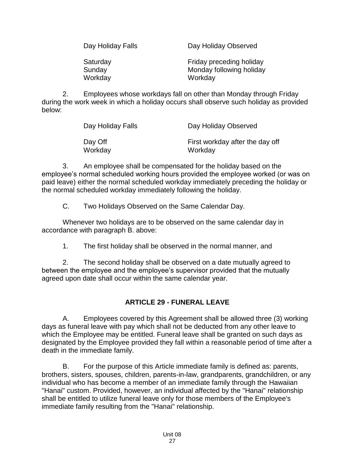| Day Holiday Falls  | Day Holiday Observed                                 |  |  |  |  |  |  |  |
|--------------------|------------------------------------------------------|--|--|--|--|--|--|--|
| Saturday<br>Sunday | Friday preceding holiday<br>Monday following holiday |  |  |  |  |  |  |  |
| Workday            | Workday                                              |  |  |  |  |  |  |  |

2. Employees whose workdays fall on other than Monday through Friday during the work week in which a holiday occurs shall observe such holiday as provided below:

| Day Holiday Falls | Day Holiday Observed            |
|-------------------|---------------------------------|
| Day Off           | First workday after the day off |
| Workday           | Workday                         |

3. An employee shall be compensated for the holiday based on the employee's normal scheduled working hours provided the employee worked (or was on paid leave) either the normal scheduled workday immediately preceding the holiday or the normal scheduled workday immediately following the holiday.

C. Two Holidays Observed on the Same Calendar Day.

Whenever two holidays are to be observed on the same calendar day in accordance with paragraph B. above:

1. The first holiday shall be observed in the normal manner, and

2. The second holiday shall be observed on a date mutually agreed to between the employee and the employee's supervisor provided that the mutually agreed upon date shall occur within the same calendar year.

# **ARTICLE 29 - FUNERAL LEAVE**

<span id="page-29-0"></span>A. Employees covered by this Agreement shall be allowed three (3) working days as funeral leave with pay which shall not be deducted from any other leave to which the Employee may be entitled. Funeral leave shall be granted on such days as designated by the Employee provided they fall within a reasonable period of time after a death in the immediate family.

B. For the purpose of this Article immediate family is defined as: parents, brothers, sisters, spouses, children, parents-in-law, grandparents, grandchildren, or any individual who has become a member of an immediate family through the Hawaiian "Hanai" custom. Provided, however, an individual affected by the "Hanai" relationship shall be entitled to utilize funeral leave only for those members of the Employee's immediate family resulting from the "Hanai" relationship.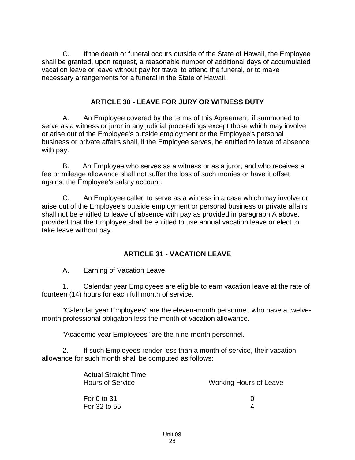C. If the death or funeral occurs outside of the State of Hawaii, the Employee shall be granted, upon request, a reasonable number of additional days of accumulated vacation leave or leave without pay for travel to attend the funeral, or to make necessary arrangements for a funeral in the State of Hawaii.

#### **ARTICLE 30 - LEAVE FOR JURY OR WITNESS DUTY**

<span id="page-30-0"></span>A. An Employee covered by the terms of this Agreement, if summoned to serve as a witness or juror in any judicial proceedings except those which may involve or arise out of the Employee's outside employment or the Employee's personal business or private affairs shall, if the Employee serves, be entitled to leave of absence with pay.

B. An Employee who serves as a witness or as a juror, and who receives a fee or mileage allowance shall not suffer the loss of such monies or have it offset against the Employee's salary account.

C. An Employee called to serve as a witness in a case which may involve or arise out of the Employee's outside employment or personal business or private affairs shall not be entitled to leave of absence with pay as provided in paragraph A above, provided that the Employee shall be entitled to use annual vacation leave or elect to take leave without pay.

### **ARTICLE 31 - VACATION LEAVE**

<span id="page-30-1"></span>A. Earning of Vacation Leave

1. Calendar year Employees are eligible to earn vacation leave at the rate of fourteen (14) hours for each full month of service.

"Calendar year Employees" are the eleven-month personnel, who have a twelvemonth professional obligation less the month of vacation allowance.

"Academic year Employees" are the nine-month personnel.

2. If such Employees render less than a month of service, their vacation allowance for such month shall be computed as follows:

| <b>Actual Straight Time</b><br><b>Hours of Service</b> | <b>Working Hours of Leave</b> |
|--------------------------------------------------------|-------------------------------|
| For 0 to $31$<br>For 32 to 55                          | $\mathbf{U}$                  |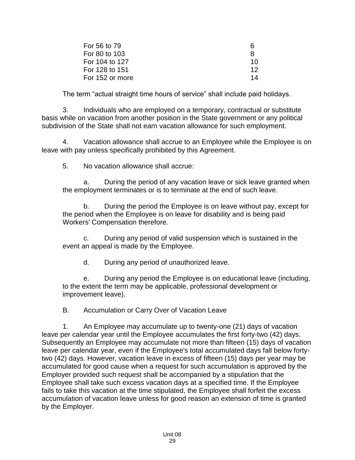| For 56 to 79    | h  |
|-----------------|----|
| For 80 to 103   | 8  |
| For 104 to 127  | 10 |
| For 128 to 151  | 12 |
| For 152 or more | 14 |

The term "actual straight time hours of service" shall include paid holidays.

3. Individuals who are employed on a temporary, contractual or substitute basis while on vacation from another position in the State government or any political subdivision of the State shall not earn vacation allowance for such employment.

4. Vacation allowance shall accrue to an Employee while the Employee is on leave with pay unless specifically prohibited by this Agreement.

5. No vacation allowance shall accrue:

a. During the period of any vacation leave or sick leave granted when the employment terminates or is to terminate at the end of such leave.

b. During the period the Employee is on leave without pay, except for the period when the Employee is on leave for disability and is being paid Workers' Compensation therefore.

c. During any period of valid suspension which is sustained in the event an appeal is made by the Employee.

d. During any period of unauthorized leave.

e. During any period the Employee is on educational leave (including, to the extent the term may be applicable, professional development or improvement leave).

B. Accumulation or Carry Over of Vacation Leave

1. An Employee may accumulate up to twenty-one (21) days of vacation leave per calendar year until the Employee accumulates the first forty-two (42) days. Subsequently an Employee may accumulate not more than fifteen (15) days of vacation leave per calendar year, even if the Employee's total accumulated days fall below fortytwo (42) days. However, vacation leave in excess of fifteen (15) days per year may be accumulated for good cause when a request for such accumulation is approved by the Employer provided such request shall be accompanied by a stipulation that the Employee shall take such excess vacation days at a specified time. If the Employee fails to take this vacation at the time stipulated, the Employee shall forfeit the excess accumulation of vacation leave unless for good reason an extension of time is granted by the Employer.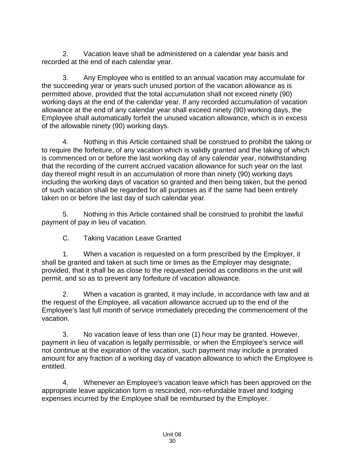2. Vacation leave shall be administered on a calendar year basis and recorded at the end of each calendar year.

3. Any Employee who is entitled to an annual vacation may accumulate for the succeeding year or years such unused portion of the vacation allowance as is permitted above, provided that the total accumulation shall not exceed ninety (90) working days at the end of the calendar year. If any recorded accumulation of vacation allowance at the end of any calendar year shall exceed ninety (90) working days, the Employee shall automatically forfeit the unused vacation allowance, which is in excess of the allowable ninety (90) working days.

4. Nothing in this Article contained shall be construed to prohibit the taking or to require the forfeiture, of any vacation which is validly granted and the taking of which is commenced on or before the last working day of any calendar year, notwithstanding that the recording of the current accrued vacation allowance for such year on the last day thereof might result in an accumulation of more than ninety (90) working days including the working days of vacation so granted and then being taken, but the period of such vacation shall be regarded for all purposes as if the same had been entirely taken on or before the last day of such calendar year.

5. Nothing in this Article contained shall be construed to prohibit the lawful payment of pay in lieu of vacation.

C. Taking Vacation Leave Granted

1. When a vacation is requested on a form prescribed by the Employer, it shall be granted and taken at such time or times as the Employer may designate; provided, that it shall be as close to the requested period as conditions in the unit will permit, and so as to prevent any forfeiture of vacation allowance.

2. When a vacation is granted, it may include, in accordance with law and at the request of the Employee, all vacation allowance accrued up to the end of the Employee's last full month of service immediately preceding the commencement of the vacation.

3. No vacation leave of less than one (1) hour may be granted. However, payment in lieu of vacation is legally permissible, or when the Employee's service will not continue at the expiration of the vacation, such payment may include a prorated amount for any fraction of a working day of vacation allowance to which the Employee is entitled.

4. Whenever an Employee's vacation leave which has been approved on the appropriate leave application form is rescinded, non-refundable travel and lodging expenses incurred by the Employee shall be reimbursed by the Employer.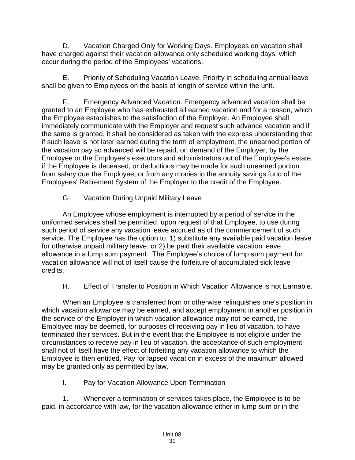D. Vacation Charged Only for Working Days. Employees on vacation shall have charged against their vacation allowance only scheduled working days, which occur during the period of the Employees' vacations.

E. Priority of Scheduling Vacation Leave. Priority in scheduling annual leave shall be given to Employees on the basis of length of service within the unit.

F. Emergency Advanced Vacation. Emergency advanced vacation shall be granted to an Employee who has exhausted all earned vacation and for a reason, which the Employee establishes to the satisfaction of the Employer. An Employee shall immediately communicate with the Employer and request such advance vacation and if the same is granted, it shall be considered as taken with the express understanding that if such leave is not later earned during the term of employment, the unearned portion of the vacation pay so advanced will be repaid, on demand of the Employer, by the Employee or the Employee's executors and administrators out of the Employee's estate, if the Employee is deceased, or deductions may be made for such unearned portion from salary due the Employee, or from any monies in the annuity savings fund of the Employees' Retirement System of the Employer to the credit of the Employee.

G. Vacation During Unpaid Military Leave

An Employee whose employment is interrupted by a period of service in the uniformed services shall be permitted, upon request of that Employee, to use during such period of service any vacation leave accrued as of the commencement of such service. The Employee has the option to: 1) substitute any available paid vacation leave for otherwise unpaid military leave; or 2) be paid their available vacation leave allowance in a lump sum payment. The Employee's choice of lump sum payment for vacation allowance will not of itself cause the forfeiture of accumulated sick leave credits.

H. Effect of Transfer to Position in Which Vacation Allowance is not Earnable.

When an Employee is transferred from or otherwise relinquishes one's position in which vacation allowance may be earned, and accept employment in another position in the service of the Employer in which vacation allowance may not be earned, the Employee may be deemed, for purposes of receiving pay in lieu of vacation, to have terminated their services. But in the event that the Employee is not eligible under the circumstances to receive pay in lieu of vacation, the acceptance of such employment shall not of itself have the effect of forfeiting any vacation allowance to which the Employee is then entitled. Pay for lapsed vacation in excess of the maximum allowed may be granted only as permitted by law.

I. Pay for Vacation Allowance Upon Termination

1. Whenever a termination of services takes place, the Employee is to be paid, in accordance with law, for the vacation allowance either in lump sum or in the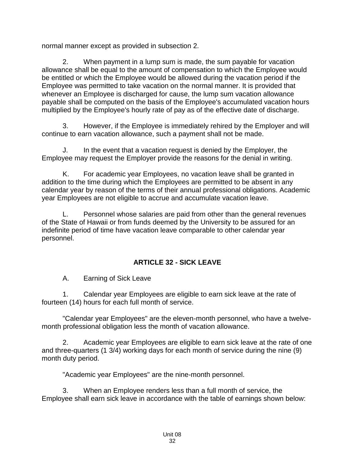normal manner except as provided in subsection 2.

2. When payment in a lump sum is made, the sum payable for vacation allowance shall be equal to the amount of compensation to which the Employee would be entitled or which the Employee would be allowed during the vacation period if the Employee was permitted to take vacation on the normal manner. It is provided that whenever an Employee is discharged for cause, the lump sum vacation allowance payable shall be computed on the basis of the Employee's accumulated vacation hours multiplied by the Employee's hourly rate of pay as of the effective date of discharge.

3. However, if the Employee is immediately rehired by the Employer and will continue to earn vacation allowance, such a payment shall not be made.

J. In the event that a vacation request is denied by the Employer, the Employee may request the Employer provide the reasons for the denial in writing.

K. For academic year Employees, no vacation leave shall be granted in addition to the time during which the Employees are permitted to be absent in any calendar year by reason of the terms of their annual professional obligations. Academic year Employees are not eligible to accrue and accumulate vacation leave.

L. Personnel whose salaries are paid from other than the general revenues of the State of Hawaii or from funds deemed by the University to be assured for an indefinite period of time have vacation leave comparable to other calendar year personnel.

# **ARTICLE 32 - SICK LEAVE**

<span id="page-34-0"></span>A. Earning of Sick Leave

1. Calendar year Employees are eligible to earn sick leave at the rate of fourteen (14) hours for each full month of service.

"Calendar year Employees" are the eleven-month personnel, who have a twelvemonth professional obligation less the month of vacation allowance.

2. Academic year Employees are eligible to earn sick leave at the rate of one and three-quarters (1 3/4) working days for each month of service during the nine (9) month duty period.

"Academic year Employees" are the nine-month personnel.

3. When an Employee renders less than a full month of service, the Employee shall earn sick leave in accordance with the table of earnings shown below: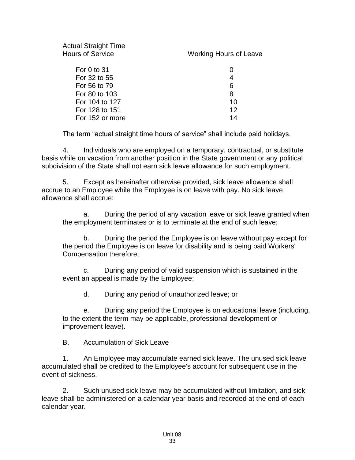| <b>Actual Straight Time</b><br><b>Hours of Service</b> | <b>Working Hours of Leave</b> |
|--------------------------------------------------------|-------------------------------|
| For 0 to 31                                            |                               |
| For 32 to 55                                           | 4                             |
| For 56 to 79                                           | 6                             |
| For 80 to 103                                          | 8                             |
| For 104 to 127                                         | 10                            |
| For 128 to 151                                         | $12 \,$                       |
| For 152 or more                                        | 14                            |
|                                                        |                               |

The term "actual straight time hours of service" shall include paid holidays.

4. Individuals who are employed on a temporary, contractual, or substitute basis while on vacation from another position in the State government or any political subdivision of the State shall not earn sick leave allowance for such employment.

5. Except as hereinafter otherwise provided, sick leave allowance shall accrue to an Employee while the Employee is on leave with pay. No sick leave allowance shall accrue:

a. During the period of any vacation leave or sick leave granted when the employment terminates or is to terminate at the end of such leave;

b. During the period the Employee is on leave without pay except for the period the Employee is on leave for disability and is being paid Workers' Compensation therefore;

c. During any period of valid suspension which is sustained in the event an appeal is made by the Employee;

d. During any period of unauthorized leave; or

e. During any period the Employee is on educational leave (including, to the extent the term may be applicable, professional development or improvement leave).

B. Accumulation of Sick Leave

1. An Employee may accumulate earned sick leave. The unused sick leave accumulated shall be credited to the Employee's account for subsequent use in the event of sickness.

2. Such unused sick leave may be accumulated without limitation, and sick leave shall be administered on a calendar year basis and recorded at the end of each calendar year.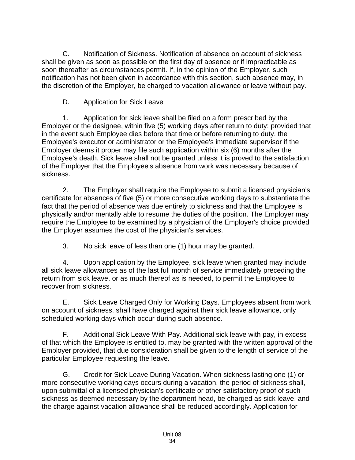C. Notification of Sickness. Notification of absence on account of sickness shall be given as soon as possible on the first day of absence or if impracticable as soon thereafter as circumstances permit. If, in the opinion of the Employer, such notification has not been given in accordance with this section, such absence may, in the discretion of the Employer, be charged to vacation allowance or leave without pay.

D. Application for Sick Leave

1. Application for sick leave shall be filed on a form prescribed by the Employer or the designee, within five (5) working days after return to duty; provided that in the event such Employee dies before that time or before returning to duty, the Employee's executor or administrator or the Employee's immediate supervisor if the Employer deems it proper may file such application within six (6) months after the Employee's death. Sick leave shall not be granted unless it is proved to the satisfaction of the Employer that the Employee's absence from work was necessary because of sickness.

2. The Employer shall require the Employee to submit a licensed physician's certificate for absences of five (5) or more consecutive working days to substantiate the fact that the period of absence was due entirely to sickness and that the Employee is physically and/or mentally able to resume the duties of the position. The Employer may require the Employee to be examined by a physician of the Employer's choice provided the Employer assumes the cost of the physician's services.

3. No sick leave of less than one (1) hour may be granted.

4. Upon application by the Employee, sick leave when granted may include all sick leave allowances as of the last full month of service immediately preceding the return from sick leave, or as much thereof as is needed, to permit the Employee to recover from sickness.

E. Sick Leave Charged Only for Working Days. Employees absent from work on account of sickness, shall have charged against their sick leave allowance, only scheduled working days which occur during such absence.

F. Additional Sick Leave With Pay. Additional sick leave with pay, in excess of that which the Employee is entitled to, may be granted with the written approval of the Employer provided, that due consideration shall be given to the length of service of the particular Employee requesting the leave.

G. Credit for Sick Leave During Vacation. When sickness lasting one (1) or more consecutive working days occurs during a vacation, the period of sickness shall, upon submittal of a licensed physician's certificate or other satisfactory proof of such sickness as deemed necessary by the department head, be charged as sick leave, and the charge against vacation allowance shall be reduced accordingly. Application for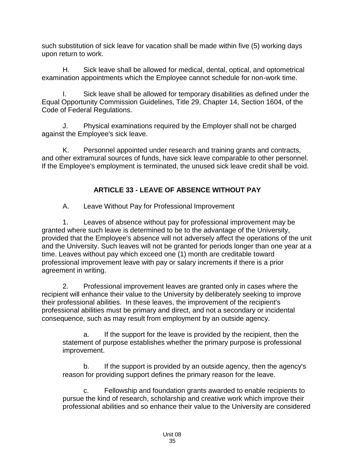such substitution of sick leave for vacation shall be made within five (5) working days upon return to work.

H. Sick leave shall be allowed for medical, dental, optical, and optometrical examination appointments which the Employee cannot schedule for non-work time.

I. Sick leave shall be allowed for temporary disabilities as defined under the Equal Opportunity Commission Guidelines, Title 29, Chapter 14, Section 1604, of the Code of Federal Regulations.

J. Physical examinations required by the Employer shall not be charged against the Employee's sick leave.

K. Personnel appointed under research and training grants and contracts, and other extramural sources of funds, have sick leave comparable to other personnel. If the Employee's employment is terminated, the unused sick leave credit shall be void.

# **ARTICLE 33 - LEAVE OF ABSENCE WITHOUT PAY**

<span id="page-37-0"></span>A. Leave Without Pay for Professional Improvement

1. Leaves of absence without pay for professional improvement may be granted where such leave is determined to be to the advantage of the University, provided that the Employee's absence will not adversely affect the operations of the unit and the University. Such leaves will not be granted for periods longer than one year at a time. Leaves without pay which exceed one (1) month are creditable toward professional improvement leave with pay or salary increments if there is a prior agreement in writing.

2. Professional improvement leaves are granted only in cases where the recipient will enhance their value to the University by deliberately seeking to improve their professional abilities. In these leaves, the improvement of the recipient's professional abilities must be primary and direct, and not a secondary or incidental consequence, such as may result from employment by an outside agency.

a. If the support for the leave is provided by the recipient, then the statement of purpose establishes whether the primary purpose is professional improvement.

b. If the support is provided by an outside agency, then the agency's reason for providing support defines the primary reason for the leave.

c. Fellowship and foundation grants awarded to enable recipients to pursue the kind of research, scholarship and creative work which improve their professional abilities and so enhance their value to the University are considered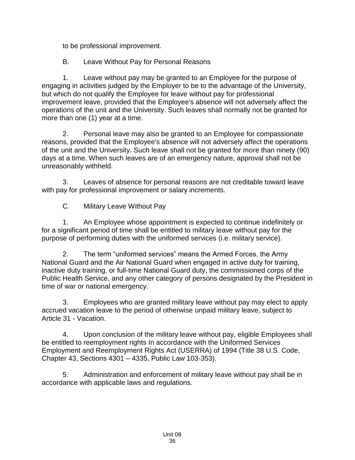to be professional improvement.

B. Leave Without Pay for Personal Reasons

1. Leave without pay may be granted to an Employee for the purpose of engaging in activities judged by the Employer to be to the advantage of the University, but which do not qualify the Employee for leave without pay for professional improvement leave, provided that the Employee's absence will not adversely affect the operations of the unit and the University. Such leaves shall normally not be granted for more than one (1) year at a time.

2. Personal leave may also be granted to an Employee for compassionate reasons, provided that the Employee's absence will not adversely affect the operations of the unit and the University. Such leave shall not be granted for more than ninety (90) days at a time. When such leaves are of an emergency nature, approval shall not be unreasonably withheld.

3. Leaves of absence for personal reasons are not creditable toward leave with pay for professional improvement or salary increments.

C. Military Leave Without Pay

1. An Employee whose appointment is expected to continue indefinitely or for a significant period of time shall be entitled to military leave without pay for the purpose of performing duties with the uniformed services (i.e. military service).

2. The term "uniformed services" means the Armed Forces, the Army National Guard and the Air National Guard when engaged in active duty for training, inactive duty training, or full-time National Guard duty, the commissioned corps of the Public Health Service, and any other category of persons designated by the President in time of war or national emergency.

3. Employees who are granted military leave without pay may elect to apply accrued vacation leave to the period of otherwise unpaid military leave, subject to Article 31 - Vacation.

4. Upon conclusion of the military leave without pay, eligible Employees shall be entitled to reemployment rights In accordance with the Uniformed Services Employment and Reemployment Rights Act (USERRA) of 1994 (Title 38 U.S. Code, Chapter 43, Sections 4301 – 4335, Public Law 103-353).

5. Administration and enforcement of military leave without pay shall be in accordance with applicable laws and regulations.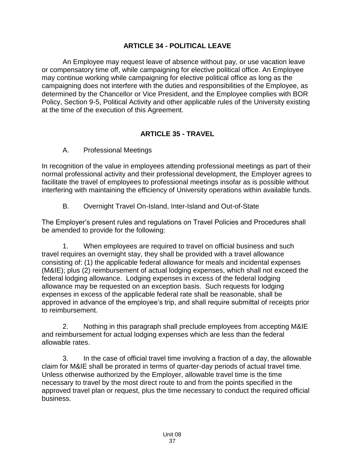#### **ARTICLE 34 - POLITICAL LEAVE**

<span id="page-39-0"></span>An Employee may request leave of absence without pay, or use vacation leave or compensatory time off, while campaigning for elective political office. An Employee may continue working while campaigning for elective political office as long as the campaigning does not interfere with the duties and responsibilities of the Employee, as determined by the Chancellor or Vice President, and the Employee complies with BOR Policy, Section 9-5, Political Activity and other applicable rules of the University existing at the time of the execution of this Agreement.

#### **ARTICLE 35 - TRAVEL**

<span id="page-39-1"></span>A. Professional Meetings

In recognition of the value in employees attending professional meetings as part of their normal professional activity and their professional development, the Employer agrees to facilitate the travel of employees to professional meetings insofar as is possible without interfering with maintaining the efficiency of University operations within available funds.

B. Overnight Travel On-Island, Inter-Island and Out-of-State

The Employer's present rules and regulations on Travel Policies and Procedures shall be amended to provide for the following:

1. When employees are required to travel on official business and such travel requires an overnight stay, they shall be provided with a travel allowance consisting of: (1) the applicable federal allowance for meals and incidental expenses (M&IE); plus (2) reimbursement of actual lodging expenses, which shall not exceed the federal lodging allowance. Lodging expenses in excess of the federal lodging allowance may be requested on an exception basis. Such requests for lodging expenses in excess of the applicable federal rate shall be reasonable, shall be approved in advance of the employee's trip, and shall require submittal of receipts prior to reimbursement.

2. Nothing in this paragraph shall preclude employees from accepting M&IE and reimbursement for actual lodging expenses which are less than the federal allowable rates.

3. In the case of official travel time involving a fraction of a day, the allowable claim for M&IE shall be prorated in terms of quarter-day periods of actual travel time. Unless otherwise authorized by the Employer, allowable travel time is the time necessary to travel by the most direct route to and from the points specified in the approved travel plan or request, plus the time necessary to conduct the required official business.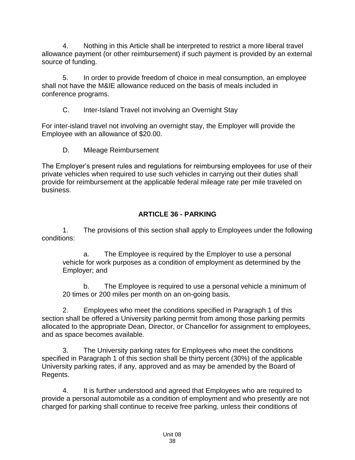4. Nothing in this Article shall be interpreted to restrict a more liberal travel allowance payment (or other reimbursement) if such payment is provided by an external source of funding.

5. In order to provide freedom of choice in meal consumption, an employee shall not have the M&IE allowance reduced on the basis of meals included in conference programs.

C. Inter-Island Travel not involving an Overnight Stay

For inter-island travel not involving an overnight stay, the Employer will provide the Employee with an allowance of \$20.00.

D. Mileage Reimbursement

The Employer's present rules and regulations for reimbursing employees for use of their private vehicles when required to use such vehicles in carrying out their duties shall provide for reimbursement at the applicable federal mileage rate per mile traveled on business.

# **ARTICLE 36 - PARKING**

<span id="page-40-0"></span>1. The provisions of this section shall apply to Employees under the following conditions:

a. The Employee is required by the Employer to use a personal vehicle for work purposes as a condition of employment as determined by the Employer; and

b. The Employee is required to use a personal vehicle a minimum of 20 times or 200 miles per month on an on-going basis.

2. Employees who meet the conditions specified in Paragraph 1 of this section shall be offered a University parking permit from among those parking permits allocated to the appropriate Dean, Director, or Chancellor for assignment to employees, and as space becomes available.

3. The University parking rates for Employees who meet the conditions specified in Paragraph 1 of this section shall be thirty percent (30%) of the applicable University parking rates, if any, approved and as may be amended by the Board of Regents.

4. It is further understood and agreed that Employees who are required to provide a personal automobile as a condition of employment and who presently are not charged for parking shall continue to receive free parking, unless their conditions of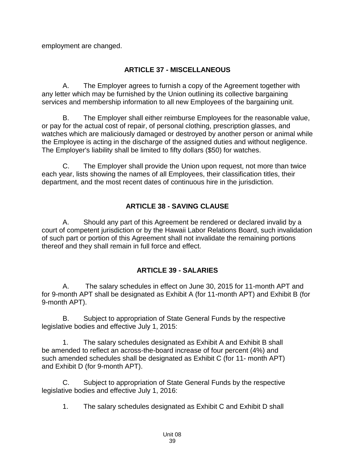employment are changed.

### **ARTICLE 37 - MISCELLANEOUS**

<span id="page-41-0"></span>A. The Employer agrees to furnish a copy of the Agreement together with any letter which may be furnished by the Union outlining its collective bargaining services and membership information to all new Employees of the bargaining unit.

B. The Employer shall either reimburse Employees for the reasonable value, or pay for the actual cost of repair, of personal clothing, prescription glasses, and watches which are maliciously damaged or destroyed by another person or animal while the Employee is acting in the discharge of the assigned duties and without negligence. The Employer's liability shall be limited to fifty dollars (\$50) for watches.

C. The Employer shall provide the Union upon request, not more than twice each year, lists showing the names of all Employees, their classification titles, their department, and the most recent dates of continuous hire in the jurisdiction.

### **ARTICLE 38 - SAVING CLAUSE**

<span id="page-41-1"></span>A. Should any part of this Agreement be rendered or declared invalid by a court of competent jurisdiction or by the Hawaii Labor Relations Board, such invalidation of such part or portion of this Agreement shall not invalidate the remaining portions thereof and they shall remain in full force and effect.

### **ARTICLE 39 - SALARIES**

<span id="page-41-2"></span>A. The salary schedules in effect on June 30, 2015 for 11-month APT and for 9-month APT shall be designated as Exhibit A (for 11-month APT) and Exhibit B (for 9-month APT).

B. Subject to appropriation of State General Funds by the respective legislative bodies and effective July 1, 2015:

1. The salary schedules designated as Exhibit A and Exhibit B shall be amended to reflect an across-the-board increase of four percent (4%) and such amended schedules shall be designated as Exhibit C (for 11- month APT) and Exhibit D (for 9-month APT).

C. Subject to appropriation of State General Funds by the respective legislative bodies and effective July 1, 2016:

1. The salary schedules designated as Exhibit C and Exhibit D shall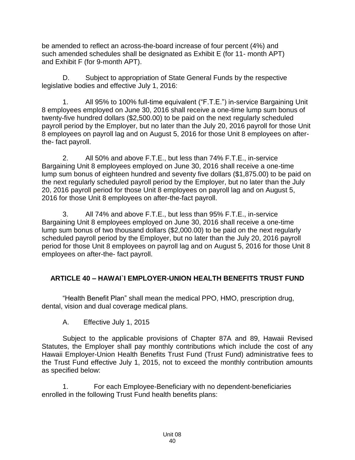be amended to reflect an across-the-board increase of four percent (4%) and such amended schedules shall be designated as Exhibit E (for 11- month APT) and Exhibit F (for 9-month APT).

D. Subject to appropriation of State General Funds by the respective legislative bodies and effective July 1, 2016:

1. All 95% to 100% full-time equivalent ("F.T.E.") in-service Bargaining Unit 8 employees employed on June 30, 2016 shall receive a one-time lump sum bonus of twenty-five hundred dollars (\$2,500.00) to be paid on the next regularly scheduled payroll period by the Employer, but no later than the July 20, 2016 payroll for those Unit 8 employees on payroll lag and on August 5, 2016 for those Unit 8 employees on afterthe- fact payroll.

2. All 50% and above F.T.E., but less than 74% F.T.E., in-service Bargaining Unit 8 employees employed on June 30, 2016 shall receive a one-time lump sum bonus of eighteen hundred and seventy five dollars (\$1,875.00) to be paid on the next regularly scheduled payroll period by the Employer, but no later than the July 20, 2016 payroll period for those Unit 8 employees on payroll lag and on August 5, 2016 for those Unit 8 employees on after-the-fact payroll.

3. All 74% and above F.T.E., but less than 95% F.T.E., in-service Bargaining Unit 8 employees employed on June 30, 2016 shall receive a one-time lump sum bonus of two thousand dollars (\$2,000.00) to be paid on the next regularly scheduled payroll period by the Employer, but no later than the July 20, 2016 payroll period for those Unit 8 employees on payroll lag and on August 5, 2016 for those Unit 8 employees on after-the- fact payroll.

# <span id="page-42-0"></span>**ARTICLE 40 – HAWAI`I EMPLOYER-UNION HEALTH BENEFITS TRUST FUND**

"Health Benefit Plan" shall mean the medical PPO, HMO, prescription drug, dental, vision and dual coverage medical plans.

A. Effective July 1, 2015

Subject to the applicable provisions of Chapter 87A and 89, Hawaii Revised Statutes, the Employer shall pay monthly contributions which include the cost of any Hawaii Employer-Union Health Benefits Trust Fund (Trust Fund) administrative fees to the Trust Fund effective July 1, 2015, not to exceed the monthly contribution amounts as specified below:

1. For each Employee-Beneficiary with no dependent-beneficiaries enrolled in the following Trust Fund health benefits plans: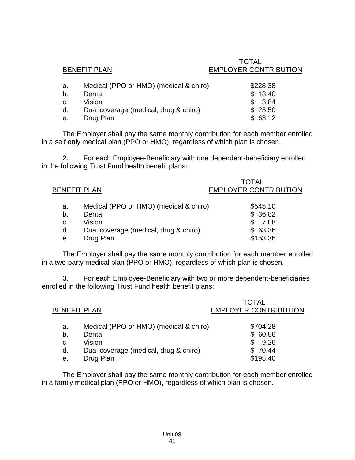|    | <b>BENEFIT PLAN</b>                    | 1 V I A L<br><b>EMPLOYER CONTRIBUTION</b> |
|----|----------------------------------------|-------------------------------------------|
| а. | Medical (PPO or HMO) (medical & chiro) | \$228.38                                  |
| b. | Dental                                 | \$18.40                                   |
| C. | Vision                                 | 3.84                                      |
| d. | Dual coverage (medical, drug & chiro)  | \$25.50                                   |
| е. | Drug Plan                              | \$63.12                                   |

TOTAL

The Employer shall pay the same monthly contribution for each member enrolled in a self only medical plan (PPO or HMO), regardless of which plan is chosen.

2. For each Employee-Beneficiary with one dependent-beneficiary enrolled in the following Trust Fund health benefit plans:

| <b>BENEFIT PLAN</b> |                                        | TOTAL<br><b>EMPLOYER CONTRIBUTION</b> |
|---------------------|----------------------------------------|---------------------------------------|
| a.                  | Medical (PPO or HMO) (medical & chiro) | \$545.10                              |
| b.                  | Dental                                 | \$36.82                               |
| C.                  | Vision                                 | 7.08                                  |
| d.                  | Dual coverage (medical, drug & chiro)  | \$63.36                               |
| е.                  | Drug Plan                              | \$153.36                              |
|                     |                                        |                                       |

The Employer shall pay the same monthly contribution for each member enrolled in a two-party medical plan (PPO or HMO), regardless of which plan is chosen.

3. For each Employee-Beneficiary with two or more dependent-beneficiaries enrolled in the following Trust Fund health benefit plans:

| <b>BENEFIT PLAN</b> |                                        | <b>TOTAL</b><br><b>EMPLOYER CONTRIBUTION</b> |
|---------------------|----------------------------------------|----------------------------------------------|
| a.                  | Medical (PPO or HMO) (medical & chiro) | \$704.28                                     |
| b.                  | Dental                                 | \$60.56                                      |
| c.                  | Vision                                 | 9.26                                         |
| d.                  | Dual coverage (medical, drug & chiro)  | \$70.44                                      |
| е.                  | Drug Plan                              | \$195.40                                     |
|                     |                                        |                                              |

The Employer shall pay the same monthly contribution for each member enrolled in a family medical plan (PPO or HMO), regardless of which plan is chosen.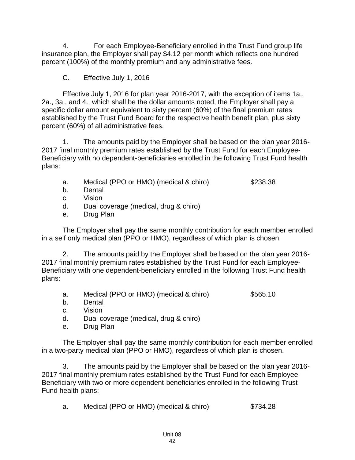4. For each Employee-Beneficiary enrolled in the Trust Fund group life insurance plan, the Employer shall pay \$4.12 per month which reflects one hundred percent (100%) of the monthly premium and any administrative fees.

C. Effective July 1, 2016

Effective July 1, 2016 for plan year 2016-2017, with the exception of items 1a., 2a., 3a., and 4., which shall be the dollar amounts noted, the Employer shall pay a specific dollar amount equivalent to sixty percent (60%) of the final premium rates established by the Trust Fund Board for the respective health benefit plan, plus sixty percent (60%) of all administrative fees.

1. The amounts paid by the Employer shall be based on the plan year 2016- 2017 final monthly premium rates established by the Trust Fund for each Employee-Beneficiary with no dependent-beneficiaries enrolled in the following Trust Fund health plans:

- a. Medical (PPO or HMO) (medical & chiro) \$238.38
- b. Dental
- c. Vision
- d. Dual coverage (medical, drug & chiro)
- e. Drug Plan

The Employer shall pay the same monthly contribution for each member enrolled in a self only medical plan (PPO or HMO), regardless of which plan is chosen.

2. The amounts paid by the Employer shall be based on the plan year 2016- 2017 final monthly premium rates established by the Trust Fund for each Employee-Beneficiary with one dependent-beneficiary enrolled in the following Trust Fund health plans:

- a. Medical (PPO or HMO) (medical & chiro) \$565.10
- b. Dental
- c. Vision
- d. Dual coverage (medical, drug & chiro)
- e. Drug Plan

The Employer shall pay the same monthly contribution for each member enrolled in a two-party medical plan (PPO or HMO), regardless of which plan is chosen.

3. The amounts paid by the Employer shall be based on the plan year 2016- 2017 final monthly premium rates established by the Trust Fund for each Employee-Beneficiary with two or more dependent-beneficiaries enrolled in the following Trust Fund health plans:

a. Medical (PPO or HMO) (medical & chiro) \$734.28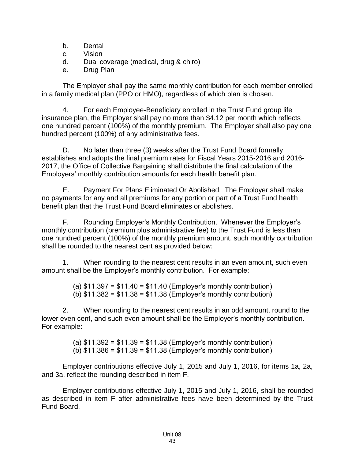- b. Dental
- c. Vision

d. Dual coverage (medical, drug & chiro)

e. Drug Plan

The Employer shall pay the same monthly contribution for each member enrolled in a family medical plan (PPO or HMO), regardless of which plan is chosen.

4. For each Employee-Beneficiary enrolled in the Trust Fund group life insurance plan, the Employer shall pay no more than \$4.12 per month which reflects one hundred percent (100%) of the monthly premium. The Employer shall also pay one hundred percent (100%) of any administrative fees.

D. No later than three (3) weeks after the Trust Fund Board formally establishes and adopts the final premium rates for Fiscal Years 2015-2016 and 2016- 2017, the Office of Collective Bargaining shall distribute the final calculation of the Employers' monthly contribution amounts for each health benefit plan.

E. Payment For Plans Eliminated Or Abolished. The Employer shall make no payments for any and all premiums for any portion or part of a Trust Fund health benefit plan that the Trust Fund Board eliminates or abolishes.

F. Rounding Employer's Monthly Contribution. Whenever the Employer's monthly contribution (premium plus administrative fee) to the Trust Fund is less than one hundred percent (100%) of the monthly premium amount, such monthly contribution shall be rounded to the nearest cent as provided below:

1. When rounding to the nearest cent results in an even amount, such even amount shall be the Employer's monthly contribution. For example:

> (a)  $$11.397 = $11.40 = $11.40$  (Employer's monthly contribution)  $(b)$  \$11.382 = \$11.38 = \$11.38 (Employer's monthly contribution)

2. When rounding to the nearest cent results in an odd amount, round to the lower even cent, and such even amount shall be the Employer's monthly contribution. For example:

> (a)  $$11.392 = $11.39 = $11.38$  (Employer's monthly contribution) (b)  $$11.386 = $11.39 = $11.38$  (Employer's monthly contribution)

Employer contributions effective July 1, 2015 and July 1, 2016, for items 1a, 2a, and 3a, reflect the rounding described in item F.

Employer contributions effective July 1, 2015 and July 1, 2016, shall be rounded as described in item F after administrative fees have been determined by the Trust Fund Board.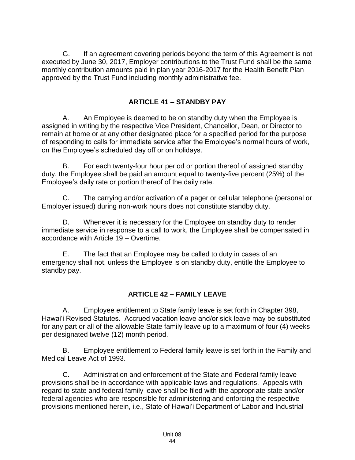G. If an agreement covering periods beyond the term of this Agreement is not executed by June 30, 2017, Employer contributions to the Trust Fund shall be the same monthly contribution amounts paid in plan year 2016-2017 for the Health Benefit Plan approved by the Trust Fund including monthly administrative fee.

### **ARTICLE 41 – STANDBY PAY**

<span id="page-46-0"></span>A. An Employee is deemed to be on standby duty when the Employee is assigned in writing by the respective Vice President, Chancellor, Dean, or Director to remain at home or at any other designated place for a specified period for the purpose of responding to calls for immediate service after the Employee's normal hours of work, on the Employee's scheduled day off or on holidays.

B. For each twenty-four hour period or portion thereof of assigned standby duty, the Employee shall be paid an amount equal to twenty-five percent (25%) of the Employee's daily rate or portion thereof of the daily rate.

C. The carrying and/or activation of a pager or cellular telephone (personal or Employer issued) during non-work hours does not constitute standby duty.

D. Whenever it is necessary for the Employee on standby duty to render immediate service in response to a call to work, the Employee shall be compensated in accordance with Article 19 – Overtime.

E. The fact that an Employee may be called to duty in cases of an emergency shall not, unless the Employee is on standby duty, entitle the Employee to standby pay.

# **ARTICLE 42 – FAMILY LEAVE**

<span id="page-46-1"></span>A. Employee entitlement to State family leave is set forth in Chapter 398, Hawai'i Revised Statutes. Accrued vacation leave and/or sick leave may be substituted for any part or all of the allowable State family leave up to a maximum of four (4) weeks per designated twelve (12) month period.

B. Employee entitlement to Federal family leave is set forth in the Family and Medical Leave Act of 1993.

C. Administration and enforcement of the State and Federal family leave provisions shall be in accordance with applicable laws and regulations. Appeals with regard to state and federal family leave shall be filed with the appropriate state and/or federal agencies who are responsible for administering and enforcing the respective provisions mentioned herein, i.e., State of Hawai'i Department of Labor and Industrial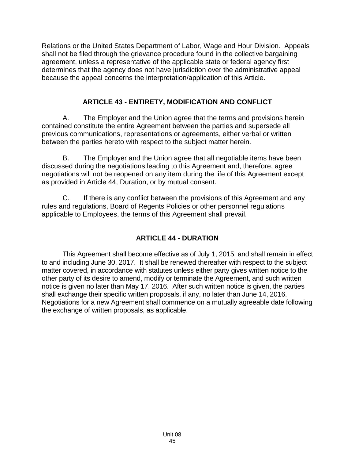Relations or the United States Department of Labor, Wage and Hour Division. Appeals shall not be filed through the grievance procedure found in the collective bargaining agreement, unless a representative of the applicable state or federal agency first determines that the agency does not have jurisdiction over the administrative appeal because the appeal concerns the interpretation/application of this Article.

## **ARTICLE 43 - ENTIRETY, MODIFICATION AND CONFLICT**

<span id="page-47-0"></span>A. The Employer and the Union agree that the terms and provisions herein contained constitute the entire Agreement between the parties and supersede all previous communications, representations or agreements, either verbal or written between the parties hereto with respect to the subject matter herein.

B. The Employer and the Union agree that all negotiable items have been discussed during the negotiations leading to this Agreement and, therefore, agree negotiations will not be reopened on any item during the life of this Agreement except as provided in Article 44, Duration, or by mutual consent.

C. If there is any conflict between the provisions of this Agreement and any rules and regulations, Board of Regents Policies or other personnel regulations applicable to Employees, the terms of this Agreement shall prevail.

# **ARTICLE 44 - DURATION**

<span id="page-47-1"></span>This Agreement shall become effective as of July 1, 2015, and shall remain in effect to and including June 30, 2017. It shall be renewed thereafter with respect to the subject matter covered, in accordance with statutes unless either party gives written notice to the other party of its desire to amend, modify or terminate the Agreement, and such written notice is given no later than May 17, 2016. After such written notice is given, the parties shall exchange their specific written proposals, if any, no later than June 14, 2016. Negotiations for a new Agreement shall commence on a mutually agreeable date following the exchange of written proposals, as applicable.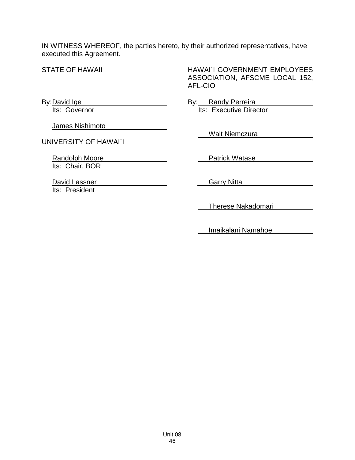IN WITNESS WHEREOF, the parties hereto, by their authorized representatives, have executed this Agreement.

STATE OF HAWAII

By:David Ige

HAWAI`I GOVERNMENT EMPLOYEES ASSOCIATION, AFSCME LOCAL 152, AFL-CIO

By: Randy Perreira Its: Executive Director

James Nishimoto

Its: Governor

UNIVERSITY OF HAWAI`I

Randolph Moore Its: Chair, BOR

David Lassner Its: President

Walt Niemczura

Patrick Watase

Garry Nitta

Therese Nakadomari

Imaikalani Namahoe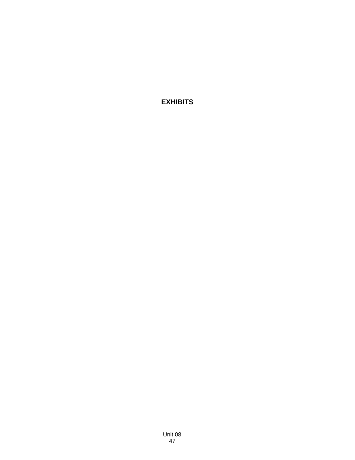<span id="page-49-0"></span>**EXHIBITS**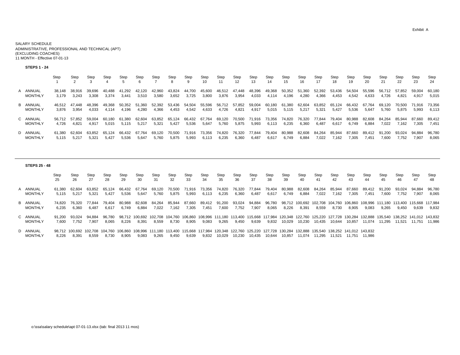#### SALARY SCHEDULEADMINISTRATIVE, PROFESSIONAL AND TECHNICAL (APT) (EXCLUDING COACHES) 11 MONTH - Effective 07-01-13

#### **STEPS 1 - 24**

|                | Step   | Step   | Step   | Step   | Step   | Step   | Step   | Step   | Step   | Step<br>10 | Step<br>11 | Step<br>12 | Step<br>13 | Step<br>14 | Step<br>15 | Step<br>16 | Step<br>17 | Step<br>18 | Step<br>19 | Step<br>20 | Step<br>21 | Step<br>22 | Step<br>23 | Step<br>24 |
|----------------|--------|--------|--------|--------|--------|--------|--------|--------|--------|------------|------------|------------|------------|------------|------------|------------|------------|------------|------------|------------|------------|------------|------------|------------|
| A ANNUAL       | 38.148 | 38.916 | 39.696 | 40.488 | 41.292 | 42.120 | 42.960 | 43.824 | 44.700 | 45,600     | 46,512     | 47.448     | 48,396     | 49,368     | 50,352     | 51.360     | 52,392     | 53,436     | 54.504     | 55.596     | 56.712     | 57.852     | 59.004     | 60.180     |
| <b>MONTHLY</b> | 3.179  | 3,243  | 3,308  | 3,374  | 3.441  | 3,510  | 3.580  | 3,652  | 3,725  | 3,800      | 3,876      | 3,954      | 4,033      | 4,114      | 4,196      | 4,280      | 4,366      | 4,453      | 4.542      | 4,633      | 4.726      | 4,821      | 4.917      | 5,015      |
| B ANNUAL       | 46.512 | 47.448 | 48.396 | 49.368 | 50.352 | 51.360 | 52.392 | 53.436 | 54.504 | 55,596     | 56.712     | 57,852     | 59,004     | 60.180     | 61.380     | 62.604     | 63,852     | 65.124     | 66.432     | 67.764     | 69.120     | 70.500     | 71.916     | 73.356     |
| <b>MONTHLY</b> | 3.876  | 3,954  | 4.033  | 4.114  | 4.196  | 4,280  | 4,366  | 4,453  | 4,542  | 4,633      | 4,726      | 4,821      | 4,917      | 5,015      | 5,115      | 5.217      | 5,321      | 5,427      | 5,536      | 5.647      | 5.760      | 5.875      | 5.993      | 6,113      |
| C ANNUAL       | 56.712 | 57.852 | 59.004 | 60.180 | 61.380 | 62.604 | 63.852 | 65.124 | 66.432 | 67.764     | 69.120     | 70,500     | 71,916     | 73.356     | 74,820     | 76.320     | 77.844     | 79.404     | 80.988     | 82.608     | 84.264     | 85.944     | 87.660     | 89.412     |
| <b>MONTHLY</b> | 4.726  | 4.821  | 4.917  | 5,015  | 5.115  | 5,217  | 5.321  | 5,427  | 5,536  | 5,647      | 5,760      | 5,875      | 5,993      | 6.113      | 6,235      | 6.360      | 6.487      | 6.617      | 6.749      | 6.884      | 7,022      | 7,162      | 7.305      | 7.451      |
| D ANNUAL       | 61.380 | 62.604 | 63.852 | 65.124 | 66.432 | 67.764 | 69.120 | 70.500 | 71.916 | 73.356     | 74.820     | 76,320     | 77.844     | 79.404     | 80,988     | 82.608     | 84.264     | 85.944     | 87.660     | 89.412     | 91.200     | 93.024     | 94.884     | 96.780     |
| <b>MONTHLY</b> | 5.115  | 5.217  | 5.321  | 5.427  | 5.536  | 5.647  | 5.760  | 5,875  | 5,993  | 6,113      | 6,235      | 6,360      | 6,487      | 6,617      | 6,749      | 6,884      | 7,022      | 7,162      | 7.305      | 7.451      | 7.600      | 752.'      | 7,907      | 8,065      |

#### **STEPS 25 - 48**

Step Step Step Step Step Step Step Step Step Step Step Step Step Step Step Step Step Step Step Step Step Step Step Step 25 26 27 28 29 30 31 32 33 34 35 36 37 38 39 40 41 42 43 44 45 46 47 48A ANNUAL 61,380 62,604 63,852 65,124 66,432 67,764 69,120 70,500 71,916 73,356 74,820 76,320 77,844 79,404 80,988 82,608 84,264 85,944 87,660 89,412 91,200 93,024 94,884 96,780 MONTHLY 5,115 5,217 5,321 5,427 5,536 5,647 5,760 5,875 5,993 6,113 6,235 6,360 6,487 6,617 6,749 6,884 7,022 7,162 7,305 7,451 7,600 7,752 7,907 8,065 B ANNUAL 74,820 76,320 77,844 79,404 80,988 82,608 84,264 85,944 87,660 89,412 91,200 93,024 94,884 96,780 98,712 100,692 102,708 104,760 106,860 108,996 111,180 113,400 115,668 117,984 MONTHLY 6,235 6,360 6,487 6,617 6,749 6,884 7,022 7,162 7,305 7,451 7,600 7,752 7,907 8,065 8,226 8,391 8,559 8,730 8,905 9,083 9,265 9,450 9,639 9,832 C ANNUAL 91,200 93,024 94,884 96,780 98,712 100,692 102,708 104,760 106,860 108,996 111,180 113,400 115,668 117,984 120,348 122,760 125,220 127,728 130,284 132,888 135,540 138,252 141,012 143,832 MONTHLY 7,600 7,752 7,907 8,065 8,226 8,391 8,559 8,730 8,905 9,083 9,265 9,450 9,639 9,832 10,029 10,230 10,435 10,644 10,857 11,074 11,295 11,521 11,751 11,986 D ANNUAL 98,712 100,692 102,708 104,760 106,860 108,996 111,180 113,400 115,668 117,984 120,348 122,760 125,220 127,728 130,284 132,888 135,540 138,252 141,012 143,832 MONTHLY 8,226 8,391 8,559 8,730 8,905 9,083 9,265 9,450 9,639 9,832 10,029 10,230 10,435 10,644 10,857 11,074 11,295 11,521 11,751 11,986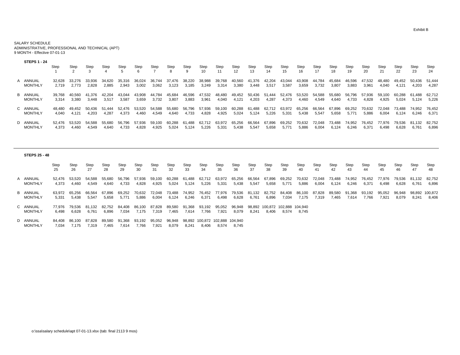SALARY SCHEDULE ADMINISTRATIVE, PROFESSIONAL AND TECHNICAL (APT) 9 MONTH - Effective 07-01-13

| <b>STEPS 1 - 24</b>        | Step            | Step            | Step            | Step            | Step                | Step<br>b       | Step            | Step            | Step<br>-9      | Step<br>10 <sup>1</sup> | Step<br>11      | Step<br>12      | Step<br>13          | Step<br>14          | Step<br>15      | Step<br>16      | Step<br>17      | Step<br>18      | Step<br>19          | Step<br>20      | Step<br>21      | Step<br>22      | Step<br>23      | Step<br>24      |
|----------------------------|-----------------|-----------------|-----------------|-----------------|---------------------|-----------------|-----------------|-----------------|-----------------|-------------------------|-----------------|-----------------|---------------------|---------------------|-----------------|-----------------|-----------------|-----------------|---------------------|-----------------|-----------------|-----------------|-----------------|-----------------|
| A ANNUAL<br><b>MONTHLY</b> | 32.628<br>2.719 | 33.276<br>2,773 | 33,936<br>2,828 | 34.620<br>2,885 | 35.316<br>2.943     | 36.024<br>3,002 | 36.744<br>3,062 | 37.476<br>3,123 | 38.220<br>3,185 | 38,988<br>3,249         | 39.768<br>3,314 | 0.560<br>3,380  | .376<br>3,448       | 42.204<br>3,51      | 43.044<br>3,587 | 43.908<br>3,659 | 44.784<br>3,732 | 45.684<br>3,807 | 46.596<br>3,883     | . .532<br>3,96' | 48.480<br>4.040 | 49.452<br>4.121 | 50.436<br>4,203 | 51.444<br>4,287 |
| B ANNUAL<br><b>MONTHLY</b> | 39.768<br>3.314 | 40.560<br>3.380 | 41.376<br>3.448 | 42.204<br>3,517 | 044.<br>3.587       | 43.908<br>3,659 | 44.784<br>3.732 | 45.684<br>3,807 | 46.596<br>3,883 | 47,532<br>3,961         | 48.480<br>4,040 | 49.452<br>4.121 | 50.436<br>4.203     | 51<br>.444<br>4.287 | 52.476<br>4,373 | 53.520<br>4.460 | 54.588<br>4,549 | 55.680<br>4.640 | 56<br>.796<br>4.733 | 57.936<br>4,828 | 59.100<br>4.925 | 60.288<br>5.024 | 61.488<br>5.124 | 62.712<br>5,226 |
| C ANNUAL<br><b>MONTHLY</b> | 48.480<br>4.040 | 49.452<br>4.121 | 50.436<br>4.203 | 1.444<br>4.287  | 52.476<br>4.373     | 53.520<br>4.460 | 54.588<br>4.549 | 55.680<br>4.640 | 56.796<br>4.733 | 57,936<br>4,828         | 59.100<br>4,925 | 60.288<br>5,024 | .488<br>b.<br>5,124 | 62.<br>5,226        | 63.972<br>5,331 | 65.256<br>5.438 | 66,564<br>5,547 | 67.896<br>5,658 | 69.252<br>5.771     | 70.632<br>5,886 | 72 N48<br>6.004 | 73.488<br>6.124 | 74.952<br>6,246 | 76.452<br>6,371 |
| D ANNUAL<br><b>MONTHLY</b> | 52.476<br>4.373 | 53.520<br>4.460 | 54.588<br>4,549 | 55,680<br>4,640 | .796<br>56<br>4.733 | .936<br>4,828   | 59.100<br>4.925 | 60.288<br>5,024 | 61.488<br>5,124 | 62.712<br>5,226         | 63.972<br>5,331 | 65.256<br>5,438 | 66,564<br>5,547     | 67.896<br>5.658     | 69,252<br>5.771 | 70.632<br>5,886 | 72,048<br>6,004 | 73,488<br>6,124 | 74.952<br>6.246     | 76.452<br>6.371 | 77,976<br>6.498 | 79.536<br>6,628 | 81.132<br>6.761 | 82,752<br>6,896 |

| <b>STEPS 25 - 48</b>       |                 |                 |                 |                 |                 |                 |                 |                 |                 |                                  |                 |                 |                 |                  |                          |                 |                 |                 |                 |                 |                 |                 |                 |                  |
|----------------------------|-----------------|-----------------|-----------------|-----------------|-----------------|-----------------|-----------------|-----------------|-----------------|----------------------------------|-----------------|-----------------|-----------------|------------------|--------------------------|-----------------|-----------------|-----------------|-----------------|-----------------|-----------------|-----------------|-----------------|------------------|
|                            | Step<br>25      | Step<br>26      | Step<br>27      | Step<br>28      | Step<br>29      | Step<br>30      | Step<br>31      | Step<br>32      | Step<br>33      | Step<br>34                       | Step<br>35      | Step<br>36      | Step<br>37      | Step<br>38       | Step<br>39               | Step<br>40      | Step<br>41      | Step<br>42      | Step<br>43      | Step<br>44      | Step<br>45      | Step<br>46      | Step<br>47      | Step<br>-48      |
| A ANNUAL<br><b>MONTHLY</b> | 52.476<br>4.373 | 53.520<br>4,460 | 54.588<br>4,549 | 55,680<br>4,640 | 56.796<br>4,733 | 57,936<br>4,828 | 59.100<br>4,925 | 60,288<br>5,024 | 61.488<br>5,124 | 62.712<br>5,226                  | 63,972<br>5,331 | 65,256<br>5,438 | 66,564<br>5,547 | 67.896<br>5,658  | 69.252<br>5.771          | 70,632<br>5,886 | 72,048<br>6,004 | 73,488<br>6,124 | 74,952<br>6,246 | 76.452<br>6,371 | 77.976<br>6,498 | 79.536<br>6,628 | 81.132<br>6.761 | 82.752<br>6,896  |
| B ANNUAL<br><b>MONTHLY</b> | 63.972<br>5.331 | 65,256<br>5,438 | 66,564<br>5,547 | 67,896<br>5,658 | 69.252<br>5.771 | 70,632<br>5,886 | 72,048<br>6,004 | 73,488<br>6,124 | 74,952<br>6,246 | 76,452<br>6,371                  | 77,976<br>6,498 | 79,536<br>6,628 | 81,132<br>6,761 | 82,752<br>6,896  | 84,408<br>7,034          | 86,100<br>7,175 | 87,828<br>7,319 | 89,580<br>7,465 | 91,368<br>7,614 | 93,192<br>7,766 | 95,052<br>7,921 | 96,948<br>8,079 | 98,892<br>8,241 | 100,872<br>8,406 |
| C ANNUAL<br><b>MONTHLY</b> | 77.976<br>6.498 | 79,536<br>6,628 | 81.132<br>6.761 | 82.752<br>6,896 | 84.408<br>7,034 | 86.100<br>7,175 | 87.828<br>7,319 | 89,580<br>7,465 | 91.368<br>7,614 | 93,192<br>7,766                  | 95,052<br>7,921 | 96.948<br>8,079 | 98.892<br>8,241 | 100.872<br>8.406 | 102.888 104.940<br>8.574 | 8.745           |                 |                 |                 |                 |                 |                 |                 |                  |
| D ANNUAL<br><b>MONTHLY</b> | 84.408<br>7,034 | 86.100<br>7,175 | 87.828<br>7,319 | 89.580<br>7,465 | 91.368<br>7,614 | 93.192<br>7,766 | 95.052<br>7,921 | 96.948<br>8,079 | 98.892<br>8,241 | 100.872 102.888 104.940<br>8,406 | 8,574           | 8,745           |                 |                  |                          |                 |                 |                 |                 |                 |                 |                 |                 |                  |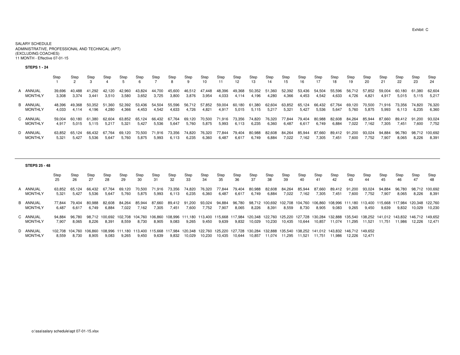#### SALARY SCHEDULE ADMINISTRATIVE, PROFESSIONAL AND TECHNICAL (APT)(EXCLUDING COACHES)11 MONTH - Effective 07-01-15

#### **STEPS 1 - 24**

|                | Step   | Step   | Step   | Step   | Step   | Step   | Step               | Step   | Step   | Step<br>10 | Step   | Step<br>12 | Step<br>13 | Step<br>14 | Step<br>15 | Step<br>16 | Step   | Step<br>18 | Step<br>19 | Step<br>20 | Step<br>21 | Step<br>22 | Step<br>23 | Step<br>24 |
|----------------|--------|--------|--------|--------|--------|--------|--------------------|--------|--------|------------|--------|------------|------------|------------|------------|------------|--------|------------|------------|------------|------------|------------|------------|------------|
| A ANNUAL       | 39.696 | 40.488 | 41.292 | 42.120 | 42.960 | 43.824 | 44.700             | 45.600 | 46.512 | 47.448     | 48,396 | 49,368     | 50,352     | 51,360     | 52,392     | 53,436     | 54,504 | 55.596     | 56.712     | 57,852     | 59.004     | 60.180     | 61.380     | 62,604     |
| <b>MONTHLY</b> | 3.308  | 3.374  | 3.441  | 3,510  | 3,580  | 3,652  | 3,725              | 3,800  | 3,876  | 3,954      | 4,033  | 4.114      | 4,196      | 4,280      | 4,366      | 4.453      | 4.542  | 4.633      | 4.726      | 4.821      | 4.917      | 5,015      | 5.115      | 5.217      |
| B ANNUAL       | 48.396 | 49.368 | 50.352 | 51.360 | 52.392 | 53.436 | 54.504             | 55,596 | 56,712 | 57,852     | 59,004 | 60,180     | 61,380     | 62,604     | 63,852     | 65.124     | 66.432 | 67.764     | 69.120     | 70.500     | .916       | 73.356     | 74.820     | 76,320     |
| <b>MONTHLY</b> | 4.033  | 4.114  | 4.196  | 4.280  | 4,366  | 4,453  | 4,542              | 4,633  | 4.726  | 4,821      | 4,917  | 5,015      | 5,115      | 5,217      | 5,321      | 5.427      | 5,536  | 5.647      | 5,760      | 5,875      | 5,993      | 6,113      | 6.235      | 6,360      |
| C ANNUAL       | 59.004 | 60.180 | 61.380 | 62.604 | 63.852 | 65.124 | 66.432             | 67.764 | 69,120 | 70,500     | 71,916 | 73.356     | 74,820     | 76.320     | 77.844     | 79.404     | 80,988 | 82.608     | 84.264     | 85.944     | 87.660     | 89.412     | 91.200     | 93.024     |
| <b>MONTHLY</b> | 4.917  | 5,015  | 5.115  | 5,217  | 5,321  | 5,427  | 5,536              | 5,647  | 5,760  | 5,875      | 5,993  | 6,113      | 6,235      | 6,360      | 6,487      | 6,617      | 6,749  | 6,884      | 7,022      | 7.162      | 7,305      | 7.451      | 7.600      | 7,752      |
| D ANNUAL       | 63.852 | 65.124 | 66.432 | 67.764 | 69.120 | 70.500 | 71.91 <sub>b</sub> | 73.356 | 74.820 | 76,320     | 77,844 | 79.404     | 80,988     | 82,608     | 84,264     | 85.944     | 87.660 | 89.412     | 91.200     | 93.024     | 94.884     | 96.780     | 98.712     | 100,692    |
| <b>MONTHLY</b> | 5.321  | 5.427  | 5.536  | 5.647  | 5.760  | 5,875  | 5.993              | 6,113  | 6,235  | 6,360      | 6,487  | 6,617      | 6,749      | 6,884      | 7,022      | 7.162      | 7,305  | 7.451      | 7.600      | 7.752      | 7.907      | 8.065      | 8.226      | 8.391      |

#### **STEPS 25 - 48**

Step Step Step Step Step Step Step Step Step Step Step Step Step Step Step Step Step Step Step Step Step Step Step Step48 25 26 27 28 29 30 31 32 33 34 35 36 37 38 39 40 41 42 43 44 45 46 47 48A ANNUAL 63,852 65,124 66,432 67,764 69,120 70,500 71,916 73,356 74,820 76,320 77,844 79,404 80,988 82,608 84,264 85,944 87,660 89,412 91,200 93,024 94,884 96,780 98,712 100,6928,391 MONTHLY 5,321 5,427 5,536 5,647 5,760 5,875 5,993 6,113 6,235 6,360 6,487 6,617 6,749 6,884 7,022 7,162 7,305 7,451 7,600 7,752 7,907 8,065 8,226 8,391B ANNUAL 77,844 79,404 80,988 82,608 84,264 85,944 87,660 89,412 91,200 93,024 94,884 96,780 98,712 100,692 102,708 104,760 108,906 108,996 111,180 113,400 115,668 117,984 120,348 122,760<br>MONTHLY 6,487 6,617 6,749 6,884 7, 10,230 MONTHLY 6,487 6,617 6,749 6,884 7,022 7,162 7,305 7,451 7,600 7,752 7,907 8,065 8,226 8,391 8,559 8,730 8,905 9,083 9,265 9,450 9,639 9,832 10,029 10,230C ANNUAL 94,884 96,780 98,712 100,692 102,708 104,760 106,860 108,996 111,180 113,400 115,668 117,984 120,348 122,760 125,220 127,728 130,284 132,888 135,540 138,252 141,012 143,832 146,712 149,652 MONTHLY 7,907 8,065 8,226 8,391 8,559 8,730 8,905 9,083 9,265 9,450 9,639 9,832 10,029 10,230 10,435 10,644 10,857 11,074 11,295 11,521 11,751 11,986 12,226 12,471D ANNUAL 102,708 104,760 106,860 108,996 111,180 113,400 115,668 117,984 120,348 122,760 125,220 127,728 130,284 132,888 135,540 138,252 141,012 143,832 146,712 149,652 MONTHLY 8,559 8,730 8,905 9,083 9,265 9,450 9,639 9,832 10,029 10,230 10,435 10,644 10,857 11,074 11,295 11,521 11,751 11,986 12,226 12,471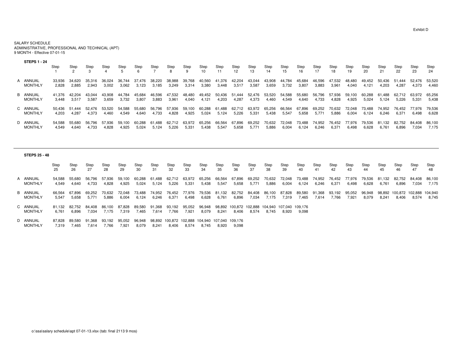SALARY SCHEDULE ADMINISTRATIVE, PROFESSIONAL AND TECHNICAL (APT)9 MONTH - Effective 07-01-15

| <b>STEPS 1 - 24</b> | Step   | Step   | Step   | Step   | Step   | Step<br>6 | Step   | Step<br>8 | Step<br>9         | Step<br>10 | Step<br>11 | Step<br>12 <sup>12</sup> | Step<br>13 | Step<br>14 | Step<br>15 | Step<br>16 | Step<br>17 | Step<br>18 | Step<br>19 | Step<br>20 | Step<br>21 | Step<br>22 | Step<br>23 | Step<br>24 |
|---------------------|--------|--------|--------|--------|--------|-----------|--------|-----------|-------------------|------------|------------|--------------------------|------------|------------|------------|------------|------------|------------|------------|------------|------------|------------|------------|------------|
| A ANNUAL            | 33.936 | 34.620 | 35.316 | 36,024 | 36.744 | 37.476    | 38.220 | 38,988    | 39.768            | 40,560     | 41,376     | 42.204                   | 43,044     | 43.908     | 44,784     | 45,684     | 46.596     | 47,532     | 48.480     | 49,452     | 50.436     | 51.444     | 52,476     | 53,520     |
| <b>MONTHLY</b>      | 2.828  | 2,885  | 2,943  | 3,002  | 3,062  | 3,123     | 3.185  | 3,249     | 3,314             | 3,380      | 3,448      | 3,517                    | 3,587      | 3,659      | 3,732      | 3,807      | 3,883      | 3,961      | 4.040      | 4.121      | 4.203      | 4.287      | 4,373      | 4.460      |
| B ANNUAL            | 41.376 | 42.204 | 43.044 | 43.908 | 44.784 | 45.684    | 46.596 | 47,532    | 48.480            | 49,452     | 50.436     | 51.444                   | 52,476     | 53,520     | 54,588     | 55,680     | 56.796     | 57,936     | 59.100     | 60.288     | 61.488     | 62.712     | 63,972     | 65.256     |
| MONTHLY             | 3.448  | 3,517  | 3.587  | 3,659  | 3,732  | 3,807     | 3,883  | 3,961     | 4,040             | 4,121      | 4,203      | 4,287                    | 4,373      | 4.460      | 4,549      | 4,640      | 4.733      | 4,828      | 4.925      | 5.024      | 5.124      | 5.226      | 5,331      | 5.438      |
| C ANNUAL            | 50.436 | 51.444 | 52.476 | 53.520 | 54,588 | 55.680    | 56.796 | 57.936    | 59,100            | 60,288     | 61,488     | 62,712                   | 63,972     | 65.256     | 66,564     | 67,896     | 69,252     | 70.632     | 72.048     | 73.488     | 74.952     | 76.452     | 77,976     | 79,536     |
| <b>MONTHLY</b>      | 4.203  | 4.287  | 4.373  | 4.460  | 4,549  | 4,640     | 4.733  | 4,828     | 4,925             | 5,024      | 5,124      | 5,226                    | 5,331      | 5.438      | 5,547      | 5,658      | 5.771      | 5,886      | 6.004      | 6.124      | 6.246      | 6,371      | 6,498      | 6.628      |
| D ANNUAL            | 54.588 | 55.680 | 56.796 | 57.936 | 59.100 | 60.288    | 61.488 | 62.712    | 63.972            | 65.256     | 66,564     | 67.896                   | 69.252     | 70.632     | 72.048     | 73.488     | 74.952     | 76.452     | 77.976     | 79.536     | 81.132     | 82.752     | 84.408     | 86.100     |
| <b>MONTHLY</b>      | 4.549  | 4.640  | 4.733  | 4.828  | 4.925  | 5.024     | 5.124  | 5.226     | 5.33 <sup>2</sup> | 5.438      | 5.547      | 5,658                    | 5.771      | 5.886      | 6,004      | 6.124      | 6.246      | 6.37       | 6.498      | 6.628      | 6.761      | 6.896      | 7.034      | 7.175      |

| <b>STEPS 25 - 48</b>       |                 |                 |                 |                 |                 |                 |                 |                 |                 |                                          |                 |                  |                  |                  |                  |                  |                 |                 |                 |                 |                      |                  |                  |                  |
|----------------------------|-----------------|-----------------|-----------------|-----------------|-----------------|-----------------|-----------------|-----------------|-----------------|------------------------------------------|-----------------|------------------|------------------|------------------|------------------|------------------|-----------------|-----------------|-----------------|-----------------|----------------------|------------------|------------------|------------------|
|                            | Step<br>25      | Step<br>26      | Step<br>27      | Step<br>28      | Step<br>29      | Step<br>30      | Step<br>31      | Step<br>32      | Step<br>33      | Step<br>34                               | Step<br>35      | Step<br>36       | Step<br>37       | Step<br>38       | Step<br>39       | Step<br>40       | Step<br>41      | Step<br>42      | Step<br>43      | Step<br>44      | Step<br>45           | Step<br>46       | Step<br>47       | Step<br>48       |
| A ANNUAL<br><b>MONTHLY</b> | 54,588<br>4,549 | 55.680<br>4,640 | 56.796<br>4,733 | 57.936<br>4,828 | 59.100<br>4,925 | 60.288<br>5,024 | 61.488<br>5,124 | 62.712<br>5,226 | 63,972<br>5,331 | 65,256<br>5,438                          | 66,564<br>5,547 | 67.896<br>5,658  | 69,252<br>5,771  | 70.632<br>5,886  | 72.048<br>6,004  | 73.488<br>6,124  | 74,952<br>6,246 | 76.452<br>6,371 | 77.976<br>6,498 | 79.536<br>6,628 | 81.<br>.132<br>6,761 | 82.752<br>6,896  | 84,408<br>7.034  | 86,100<br>7,175  |
| B ANNUAL<br><b>MONTHLY</b> | 66.564<br>5.547 | 67.896<br>5,658 | 69.252<br>5.771 | 70.632<br>5,886 | 72.048<br>6,004 | 73.488<br>6,124 | 74.952<br>6.246 | 76,452<br>6,371 | 77,976<br>6,498 | 79.536<br>6,628                          | 81,132<br>6,761 | 82.752<br>6,896  | 84.408<br>7.034  | 86.100<br>7.175  | 87.828<br>7.319  | 89,580<br>7,465  | 91,368<br>7,614 | 93,192<br>7,766 | 95,052<br>7.921 | 96,948<br>8,079 | 98.892<br>8,241      | 100.872<br>8,406 | 102.888<br>8,574 | 104.940<br>8,745 |
| C ANNUAL<br><b>MONTHLY</b> | 81.132<br>6.761 | 82.752<br>6,896 | 84.408<br>7.034 | 86.100<br>7,175 | 87.828<br>7,319 | 89.580<br>7,465 | 91.368<br>7.614 | 93,192<br>7,766 | 95,052<br>7,921 | 96,948<br>8,079                          | 98.892<br>8,241 | 100.872<br>8,406 | 102.888<br>8,574 | 104.940<br>8,745 | 107.040<br>8,920 | 109.176<br>9,098 |                 |                 |                 |                 |                      |                  |                  |                  |
| D ANNUAL<br><b>MONTHLY</b> | 87.828<br>7,319 | 89.580<br>7,465 | 91.368<br>7,614 | 93.192<br>7,766 | 95.052<br>7,921 | 96.948<br>8,079 | 98.892<br>8.24  | 8,406           | 8,574           | 100.872 102.888 104.940 107.040<br>8.745 | 8,920           | 109.176<br>9,098 |                  |                  |                  |                  |                 |                 |                 |                 |                      |                  |                  |                  |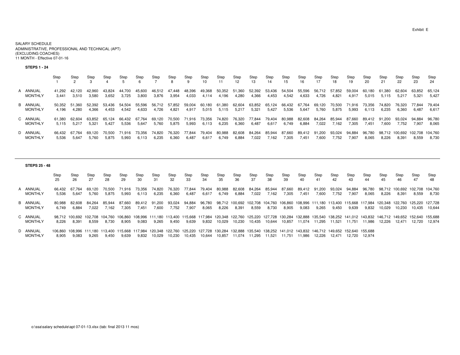#### SALARY SCHEDULE ADMINISTRATIVE, PROFESSIONAL AND TECHNICAL (APT)(EXCLUDING COACHES)11 MONTH - Effective 07-01-16

#### **STEPS 1 - 24**

|                            | Step            | Step            | Step            | Step            | Step            | Step<br>h       | Step            | Step<br>8       | Step<br>9       | Step<br>10      | Step            | Step<br>12      | Step<br>13      | Step<br>14      | Step<br>15      | Step<br>16      | Step            | Step<br>18      | Step<br>19      | Step<br>20      | Step<br>21 | Step<br>22              | Step<br>23       | Step<br>24 |
|----------------------------|-----------------|-----------------|-----------------|-----------------|-----------------|-----------------|-----------------|-----------------|-----------------|-----------------|-----------------|-----------------|-----------------|-----------------|-----------------|-----------------|-----------------|-----------------|-----------------|-----------------|------------|-------------------------|------------------|------------|
| A ANNUAL                   | 41.292          | 42.120          | 42.960          | 43.824          | 44.700          | 45.600          | 46.512          | 47.448          | 48.396          | 49,368          | 50,352          | 51,360          | 52,392          | 53,436          | 54,504          | 55,596          | 56,712          | 57.852          | 59,004          | 60.180          | 61.380     | 62.604                  | 63,852           | 65,124     |
| <b>MONTHLY</b>             | 3.441           | 3.510           | 3,580           | 3,652           | 3.725           | 3,800           | 3.876           | 3,954           | 4,033           | 4.114           | 4.196           | 4,280           | 4,366           | 4,453           | 4,542           | 4.633           | 4.726           | 4.821           | 4.917           | 5,015           | 5.115      | 5,217                   | 5,321            | 5.427      |
| B ANNUAL                   | 50.352          | 51.360          | 52.392          | 53.436          | 54.504          | 55.596          | 56.712          | 57.852          | 59.004          | 60.180          | 61.380          | 62,604          | 63,852          | 65.124          | 66,432          | 67.764          | 69.120          | 70.500          | 71.916          | 73.356          | 74.820     | 76,320                  | 77.844           | 79.404     |
| <b>MONTHLY</b>             | 4.196           | 4.280           | 4.366           | 4.453           | 4.542           | 4,633           | 4,726           | 4,821           | 4,917           | 5,015           | 5,115           | 5,217           | 5,321           | 5,427           | 5,536           | 5,647           | 5,760           | 5,875           | 5,993           | 6,113           | 6,235      | 6,360                   | 6.487            | 6,617      |
| C ANNUAL                   | 61.380          | 62.604          | 63.852          | 65.124          | 66.432          | 67.764          | 69.120          | 70.500          | 71.916          | 73.356          | 74.820          | 76,320          | 77.844          | 79.404          | 80.988          | 82.608          | 84.264          | 85.944          | 87.660          | 89.412          | 91.200     | 93,024                  | 94.884           | 96.780     |
| <b>MONTHLY</b>             | 5.115           | 5.217           | 5.321           | 5,427           | 5,536           | 5,647           | 5,760           | 5,875           | 5,993           | 6,113           | 6,235           | 6,360           | 6,487           | 6,617           | 6,749           | 6,884           | 7,022           | 7.162           | 7.305           | 7.451           | 7.600      | 7,752                   | 7.907            | 8,065      |
| D ANNUAL<br><b>MONTHLY</b> | 66.432<br>5.536 | 67.764<br>5.647 | 69.120<br>5.760 | 70.500<br>5.875 | 71.916<br>5.993 | 73.356<br>6.113 | 74.820<br>6.235 | 76.320<br>6,360 | 77.844<br>6.487 | 79.404<br>6,617 | 80.988<br>6.749 | 82.608<br>6,884 | 84,264<br>7.022 | 85.944<br>/ 162 | 87.660<br>7,305 | 89.412<br>7.451 | 91.200<br>7.600 | 93.024<br>7,752 | 94,884<br>7,907 | 96.780<br>8,065 | 8,226      | 98.712 100.692<br>8,391 | 102.708<br>8,559 |            |

#### **STEPS 25 - 48**

Step Step Step Step Step Step Step Step Step Step Step Step Step Step Step Step Step Step Step Step Step Step Step Step48 25 26 27 28 29 30 31 32 33 34 35 36 37 38 39 40 41 42 43 44 45 46 47 48A ANNUAL 66,432 67,764 69,120 70,500 71,916 73,356 74,820 76,320 77,844 79,404 80,988 82,608 84,264 85,944 87,660 89,412 91,200 93,024 94,884 96,780 98,712 100,692 102,708 104,760<br>MONTHLY 5,536 5,647 5,760 5,875 5,993 6,11 8,730 MONTHLY 5,536 5,647 5,760 5,875 5,993 6,113 6,235 6,360 6,487 6,617 6,749 6,884 7,022 7,162 7,305 7,451 7,600 7,752 7,907 8,065 8,226 8,391 8,559 8,730B ANNUAL 80,988 82,608 84,264 85,944 87,660 89,412 91,200 93,024 94,884 96,780 98,712 100,692 102,708 104,760 106,860 108,996 111,180 113,400 115,668 117,984 120,348 122,760 125,220 127,72810,644 MONTHLY 6,749 6,884 7,022 7,162 7,305 7,451 7,600 7,752 7,907 8,065 8,226 8,391 8,559 8,730 8,905 9,083 9,265 9,450 9,639 9,832 10,029 10,230 10,435 10,644C ANNUAL 98,712 100,692 102,708 104,760 106,860 108,996 111,180 113,400 115,668 117,984 120,348 122,760 125,700 125,728 130,284 132,888 135,540 138,252 141,012 143,832 146,712 149,652 152,640 155,688 MONTHLY 8,226 8,391 8,559 8,730 8,905 9,083 9,265 9,450 9,639 9,832 10,029 10,230 10,435 10,644 10,857 11,074 11,295 11,521 11,751 11,986 12,226 12,471 12,720 12,974D ANNUAL 106,860 108,996 111,180 113,400 115,668 117,984 120,348 122,760 125,220 127,728 130,284 132,888 135,540 138,252 141,012 143,832 146,712 149,652 152,640 155,688 10,644 10,857 11,074 11,295 11,521 11,751 11,986 12,226 12,471 12,720